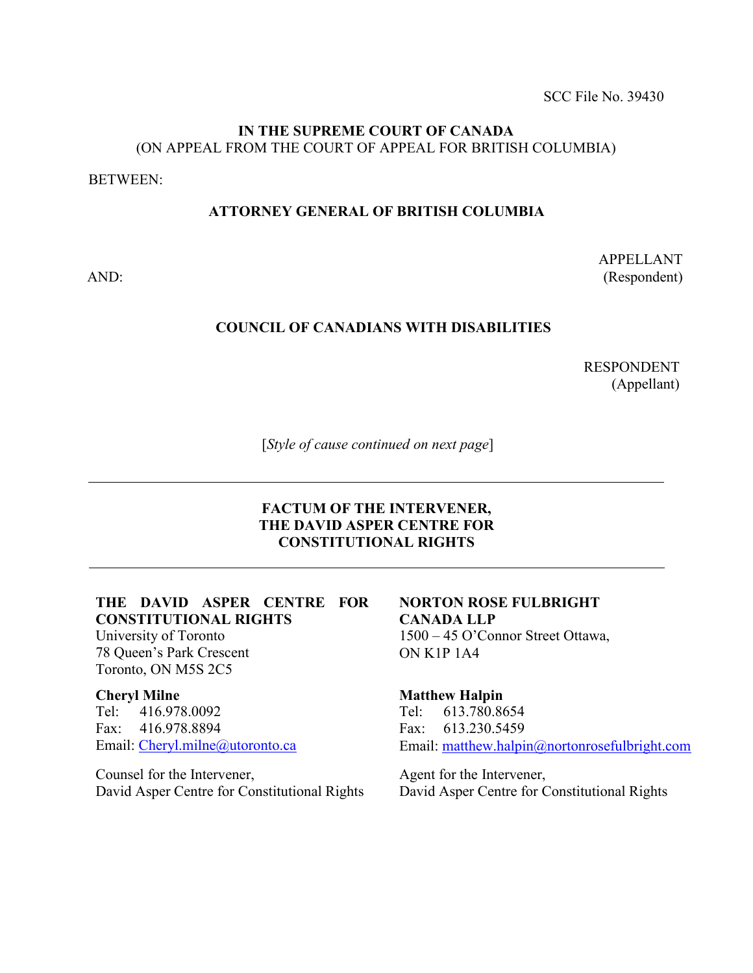SCC File No. 39430

### **IN THE SUPREME COURT OF CANADA** (ON APPEAL FROM THE COURT OF APPEAL FOR BRITISH COLUMBIA)

BETWEEN:

## **ATTORNEY GENERAL OF BRITISH COLUMBIA**

AND:

APPELLANT (Respondent)

## **COUNCIL OF CANADIANS WITH DISABILITIES**

RESPONDENT (Appellant)

[*Style of cause continued on next page*]

### **FACTUM OF THE INTERVENER, THE DAVID ASPER CENTRE FOR CONSTITUTIONAL RIGHTS**

## **THE DAVID ASPER CENTRE FOR CONSTITUTIONAL RIGHTS**

University of Toronto 78 Queen's Park Crescent Toronto, ON M5S 2C5

#### **Cheryl Milne**

Tel: 416.978.0092 Fax: 416.978.8894 Email: [Cheryl.milne@utoronto.ca](mailto:Cheryl.milne@utoronto.ca)

Counsel for the Intervener, David Asper Centre for Constitutional Rights

#### **NORTON ROSE FULBRIGHT CANADA LLP** 1500 – 45 O'Connor Street Ottawa, ON K1P 1A4

#### **Matthew Halpin** Tel: 613.780.8654 Fax: 613.230.5459 Email: [matthew.halpin@nortonrosefulbright.com](mailto:matthew.halpin@nortonrosefulbright.com)

Agent for the Intervener, David Asper Centre for Constitutional Rights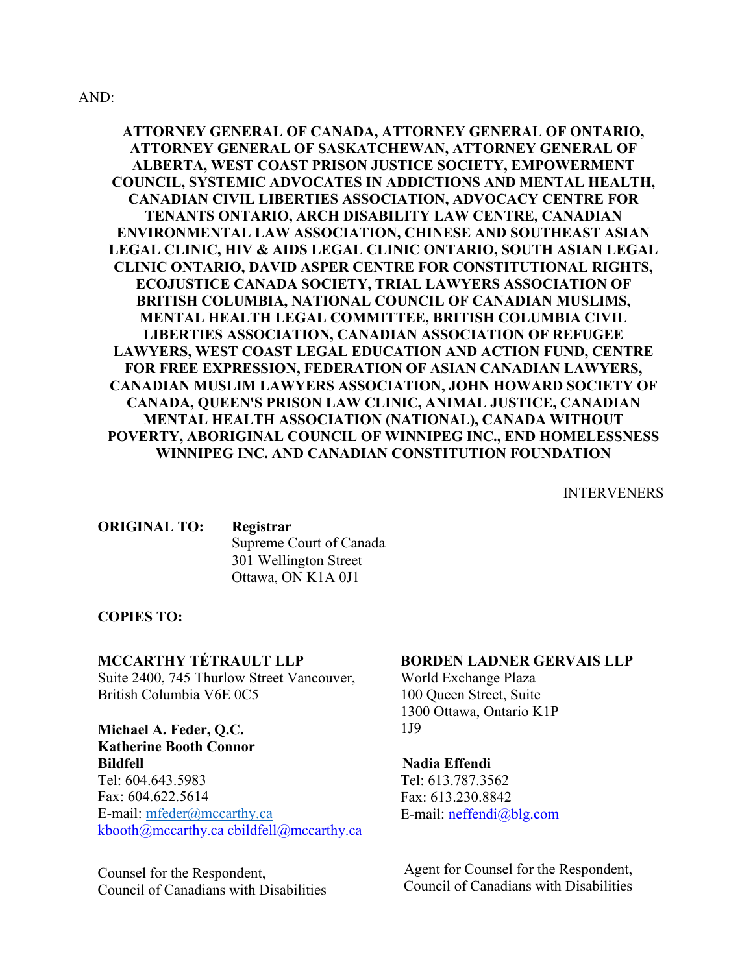#### AND:

## **ATTORNEY GENERAL OF CANADA, ATTORNEY GENERAL OF ONTARIO, ATTORNEY GENERAL OF SASKATCHEWAN, ATTORNEY GENERAL OF ALBERTA, WEST COAST PRISON JUSTICE SOCIETY, EMPOWERMENT COUNCIL, SYSTEMIC ADVOCATES IN ADDICTIONS AND MENTAL HEALTH, CANADIAN CIVIL LIBERTIES ASSOCIATION, ADVOCACY CENTRE FOR TENANTS ONTARIO, ARCH DISABILITY LAW CENTRE, CANADIAN ENVIRONMENTAL LAW ASSOCIATION, CHINESE AND SOUTHEAST ASIAN LEGAL CLINIC, HIV & AIDS LEGAL CLINIC ONTARIO, SOUTH ASIAN LEGAL CLINIC ONTARIO, DAVID ASPER CENTRE FOR CONSTITUTIONAL RIGHTS, ECOJUSTICE CANADA SOCIETY, TRIAL LAWYERS ASSOCIATION OF BRITISH COLUMBIA, NATIONAL COUNCIL OF CANADIAN MUSLIMS, MENTAL HEALTH LEGAL COMMITTEE, BRITISH COLUMBIA CIVIL LIBERTIES ASSOCIATION, CANADIAN ASSOCIATION OF REFUGEE LAWYERS, WEST COAST LEGAL EDUCATION AND ACTION FUND, CENTRE FOR FREE EXPRESSION, FEDERATION OF ASIAN CANADIAN LAWYERS, CANADIAN MUSLIM LAWYERS ASSOCIATION, JOHN HOWARD SOCIETY OF CANADA, QUEEN'S PRISON LAW CLINIC, ANIMAL JUSTICE, CANADIAN MENTAL HEALTH ASSOCIATION (NATIONAL), CANADA WITHOUT POVERTY, ABORIGINAL COUNCIL OF WINNIPEG INC., END HOMELESSNESS WINNIPEG INC. AND CANADIAN CONSTITUTION FOUNDATION**

INTERVENERS

**ORIGINAL TO: Registrar** Supreme Court of Canada 301 Wellington Street Ottawa, ON K1A 0J1

#### **COPIES TO:**

### **MCCARTHY TÉTRAULT LLP**

Suite 2400, 745 Thurlow Street Vancouver, British Columbia V6E 0C5

**Michael A. Feder, Q.C. Katherine Booth Connor Bildfell** Tel: 604.643.5983 Fax: 604.622.5614 E-mail: [mfeder@mccarthy.ca](mailto:mfeder@mccarthy.ca) [kbooth@mccarthy.ca](mailto:kbooth@mccarthy.ca) [cbildfell@mccarthy.ca](mailto:cbildfell@mccarthy.ca)

Counsel for the Respondent, Council of Canadians with Disabilities

#### **BORDEN LADNER GERVAIS LLP**

World Exchange Plaza 100 Queen Street, Suite 1300 Ottawa, Ontario K1P 1J9

#### **Nadia Effendi**

Tel: 613.787.3562 Fax: 613.230.8842 E-mail: [neffendi@blg.com](mailto:neffendi@blg.com)

Agent for Counsel for the Respondent, Council of Canadians with Disabilities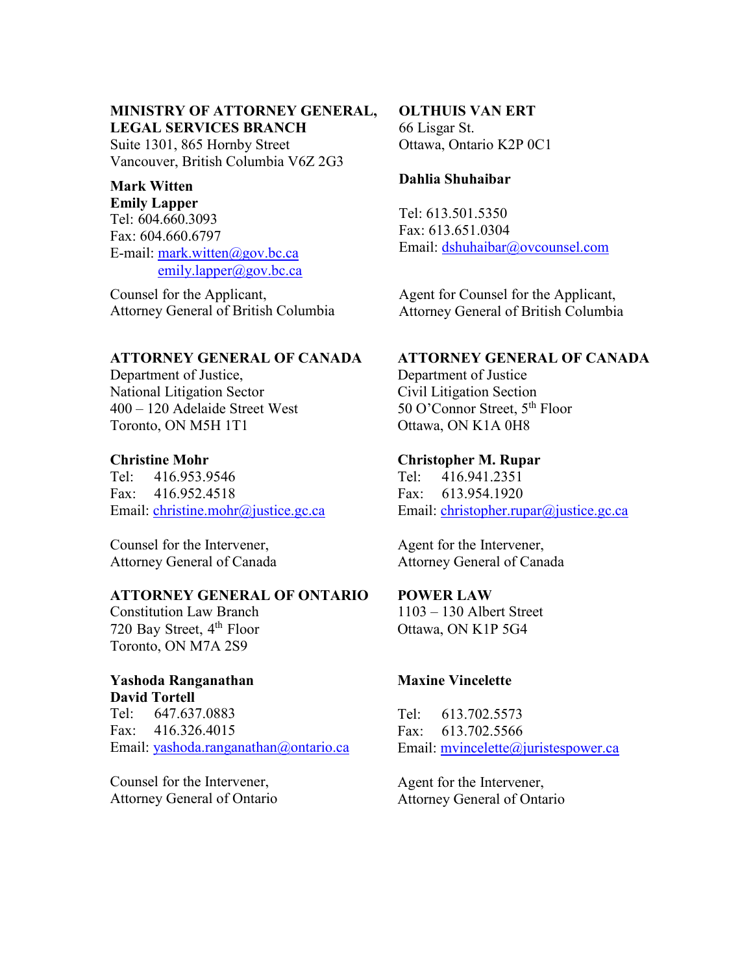## **MINISTRY OF ATTORNEY GENERAL, LEGAL SERVICES BRANCH**

Suite 1301, 865 Hornby Street Vancouver, British Columbia V6Z 2G3

## **Mark Witten**

**Emily Lapper**  Tel: 604.660.3093 Fax: 604.660.6797 E-mail: [mark.witten@gov.bc.ca](mailto:mark.witten@gov.bc.ca) [emily.lapper@gov.bc.ca](mailto:emily.lapper@gov.bc.ca)

Counsel for the Applicant, Attorney General of British Columbia

## **ATTORNEY GENERAL OF CANADA**

Department of Justice, National Litigation Sector 400 – 120 Adelaide Street West Toronto, ON M5H 1T1

### **Christine Mohr**

Tel: 416.953.9546 Fax: 416.952.4518 Email: [christine.mohr@justice.gc.ca](mailto:christine.mohr@justice.gc.ca)

Counsel for the Intervener, Attorney General of Canada

#### **ATTORNEY GENERAL OF ONTARIO**

Constitution Law Branch 720 Bay Street, 4<sup>th</sup> Floor Toronto, ON M7A 2S9

#### **Yashoda Ranganathan David Tortell**

Tel: 647.637.0883 Fax: 416.326.4015 Email: [yashoda.ranganathan@ontario.ca](mailto:yashoda.ranganathan@ontario.ca)

Counsel for the Intervener, Attorney General of Ontario

#### **OLTHUIS VAN ERT** 66 Lisgar St.

Ottawa, Ontario K2P 0C1

## **Dahlia Shuhaibar**

Tel: 613.501.5350 Fax: 613.651.0304 Email: [dshuhaibar@ovcounsel.com](mailto:dahlia@gibvanertlaw.com)

Agent for Counsel for the Applicant, Attorney General of British Columbia

## **ATTORNEY GENERAL OF CANADA**

Department of Justice Civil Litigation Section 50 O'Connor Street, 5<sup>th</sup> Floor Ottawa, ON K1A 0H8

### **Christopher M. Rupar**

Tel: 416.941.2351 Fax: 613.954.1920 Email: [christopher.rupar@justice.gc.ca](mailto:christopher.rupar@justice.gc.ca)

Agent for the Intervener, Attorney General of Canada

#### **POWER LAW**

1103 – 130 Albert Street Ottawa, ON K1P 5G4

## **Maxine Vincelette**

Tel: 613.702.5573 Fax: 613.702.5566 Email: [mvincelette@juristespower.ca](mailto:mvincelette@juristespower.ca)

Agent for the Intervener, Attorney General of Ontario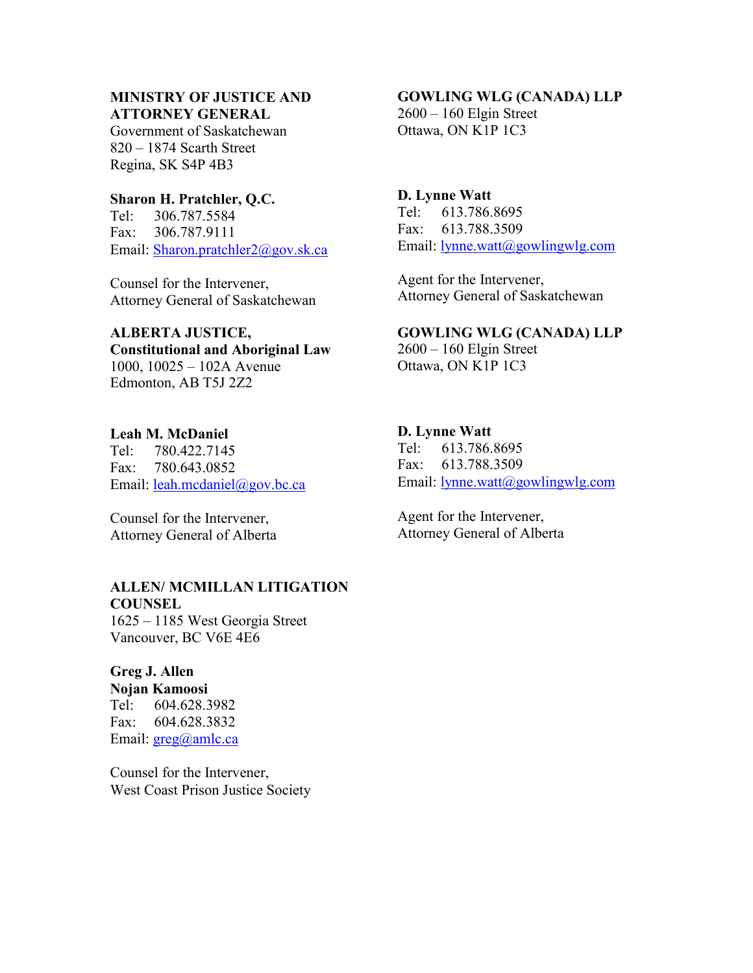#### **MINISTRY OF JUSTICE AND ATTORNEY GENERAL**

Government of Saskatchewan 820 – 1874 Scarth Street Regina, SK S4P 4B3

### **Sharon H. Pratchler, Q.C.**

Tel: 306.787.5584 Fax: 306.787.9111 Email: [Sharon.pratchler2@gov.sk.ca](mailto:Sharon.pratchler2@gov.sk.ca)

Counsel for the Intervener, Attorney General of Saskatchewan

#### **ALBERTA JUSTICE,**

**Constitutional and Aboriginal Law** 1000, 10025 – 102A Avenue Edmonton, AB T5J 2Z2

## **Leah M. McDaniel**

Tel: 780.422.7145 Fax: 780.643.0852 Email: [leah.mcdaniel@gov.bc.ca](mailto:leah.mcdaniel@gov.bc.ca)

Counsel for the Intervener, Attorney General of Alberta

#### **ALLEN/ MCMILLAN LITIGATION**

**COUNSEL** 1625 – 1185 West Georgia Street Vancouver, BC V6E 4E6

### **Greg J. Allen Nojan Kamoosi** Tel: 604.628.3982 Fax: 604.628.3832

Email: [greg@amlc.ca](mailto:greg@amlc.ca)

Counsel for the Intervener, West Coast Prison Justice Society

## **GOWLING WLG (CANADA) LLP**

2600 – 160 Elgin Street Ottawa, ON K1P 1C3

## **D. Lynne Watt**

Tel: 613.786.8695 Fax: 613.788.3509 Email: [lynne.watt@gowlingwlg.com](mailto:lynne.watt@gowlingwlg.com)

Agent for the Intervener, Attorney General of Saskatchewan

## **GOWLING WLG (CANADA) LLP**

2600 – 160 Elgin Street Ottawa, ON K1P 1C3

## **D. Lynne Watt**

Tel: 613.786.8695 Fax: 613.788.3509 Email: <u>lynne.watt@gowlingwlg.com</u>

Agent for the Intervener, Attorney General of Alberta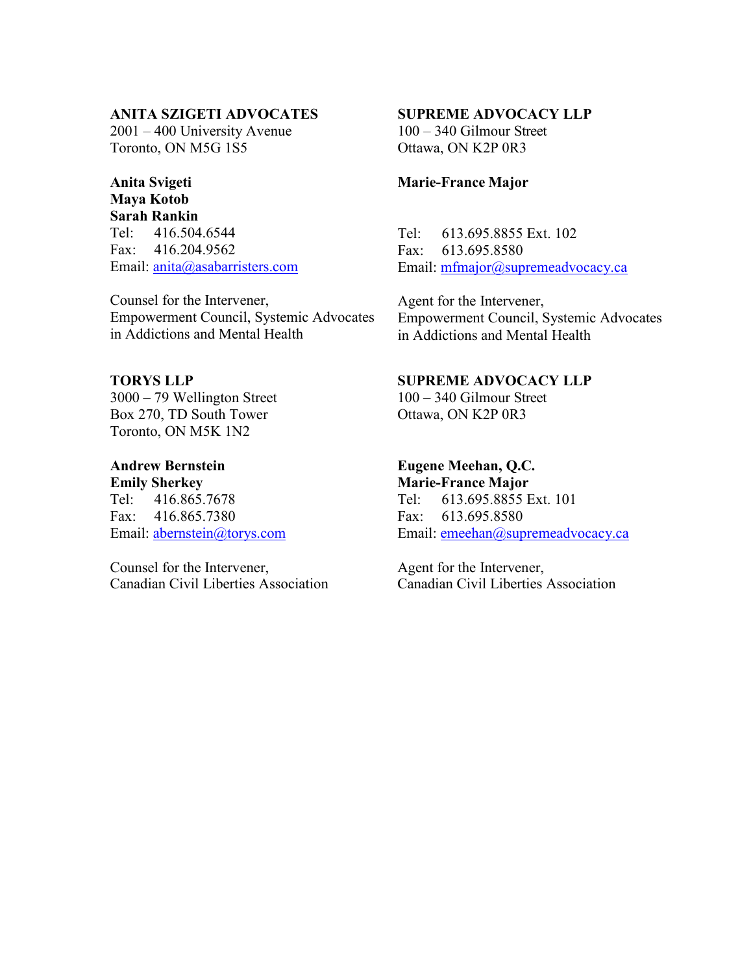#### **ANITA SZIGETI ADVOCATES**

2001 – 400 University Avenue Toronto, ON M5G 1S5

#### **Anita Svigeti Maya Kotob**

**Sarah Rankin** Tel: 416.504.6544 Fax: 416.204.9562 Email: [anita@asabarristers.com](mailto:anita@asabarristers.com)

Counsel for the Intervener, Empowerment Council, Systemic Advocates in Addictions and Mental Health

**TORYS LLP** 3000 – 79 Wellington Street Box 270, TD South Tower Toronto, ON M5K 1N2

**Andrew Bernstein Emily Sherkey** Tel: 416.865.7678 Fax: 416.865.7380 Email: [abernstein@torys.com](mailto:abernstein@torys.com)

Counsel for the Intervener, Canadian Civil Liberties Association

#### **SUPREME ADVOCACY LLP**

100 – 340 Gilmour Street Ottawa, ON K2P 0R3

#### **Marie-France Major**

Tel: 613.695.8855 Ext. 102 Fax: 613.695.8580 Email: [mfmajor@supremeadvocacy.ca](mailto:mfmajor@supremeadvocacy.ca)

Agent for the Intervener, Empowerment Council, Systemic Advocates in Addictions and Mental Health

#### **SUPREME ADVOCACY LLP**

100 – 340 Gilmour Street Ottawa, ON K2P 0R3

## **Eugene Meehan, Q.C.**

**Marie-France Major** Tel: 613.695.8855 Ext. 101 Fax: 613.695.8580 Email: [emeehan@supremeadvocacy.ca](mailto:emeehan@supremeadvocacy.ca)

Agent for the Intervener, Canadian Civil Liberties Association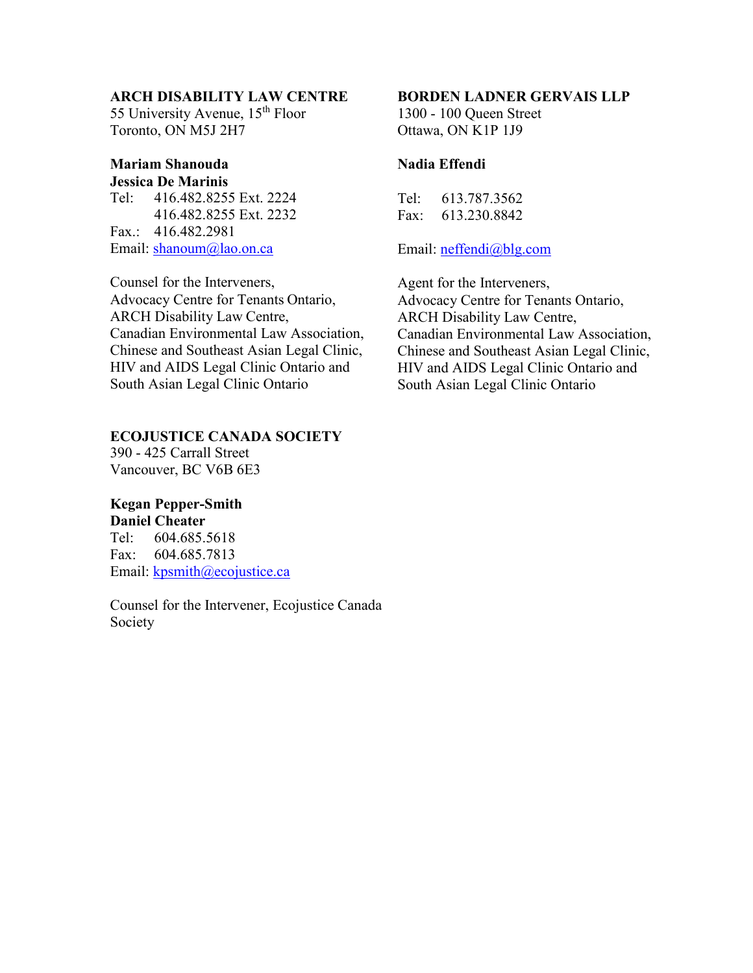#### **ARCH DISABILITY LAW CENTRE**

55 University Avenue, 15<sup>th</sup> Floor Toronto, ON M5J 2H7

#### **Mariam Shanouda Jessica De Marinis**

Tel: 416.482.8255 Ext. 2224 416.482.8255 Ext. 2232 Fax.: 416.482.2981 Email: [shanoum@lao.on.ca](mailto:shanoum@lao.on.ca)

Counsel for the Interveners, Advocacy Centre for Tenants Ontario, ARCH Disability Law Centre, Canadian Environmental Law Association, Chinese and Southeast Asian Legal Clinic, HIV and AIDS Legal Clinic Ontario and South Asian Legal Clinic Ontario

### **ECOJUSTICE CANADA SOCIETY**

390 - 425 Carrall Street Vancouver, BC V6B 6E3

# **Kegan Pepper-Smith**

**Daniel Cheater** Tel: 604.685.5618 Fax: 604.685.7813 Email: [kpsmith@ecojustice.ca](mailto:kpsmith@ecojustice.ca)

Counsel for the Intervener, Ecojustice Canada Society

## **BORDEN LADNER GERVAIS LLP**

1300 - 100 Queen Street Ottawa, ON K1P 1J9

#### **Nadia Effendi**

| Tel: | 613.787.3562 |
|------|--------------|
| Fax: | 613.230.8842 |

Email: [neffendi@blg.com](mailto:neffendi@blg.com)

Agent for the Interveners, Advocacy Centre for Tenants Ontario, ARCH Disability Law Centre, Canadian Environmental Law Association, Chinese and Southeast Asian Legal Clinic, HIV and AIDS Legal Clinic Ontario and South Asian Legal Clinic Ontario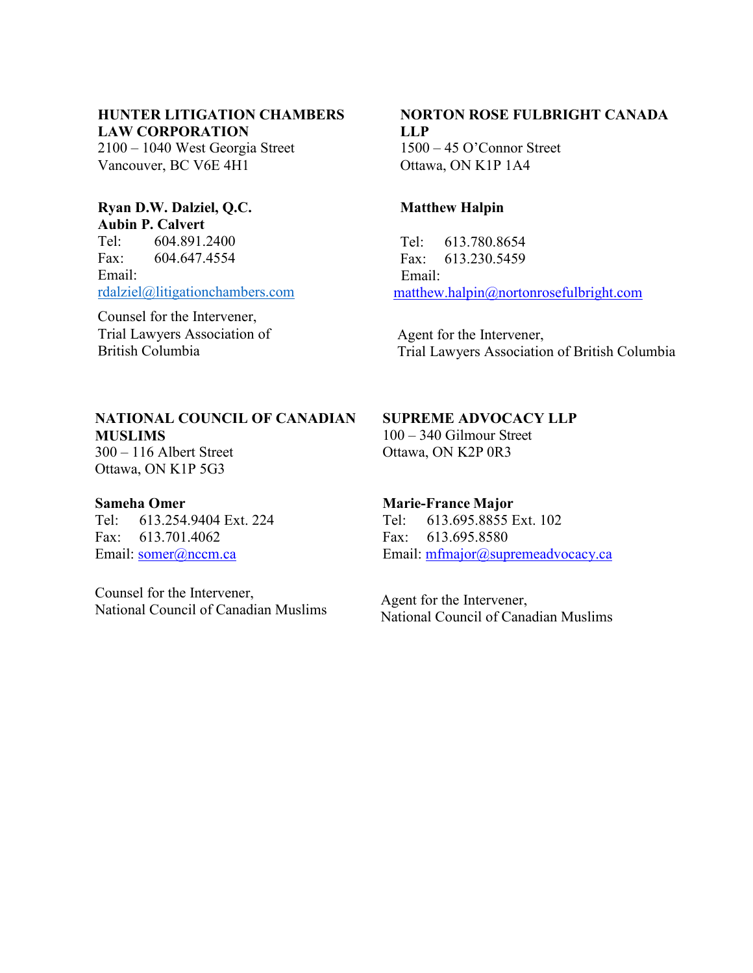## **HUNTER LITIGATION CHAMBERS LAW CORPORATION**

2100 – 1040 West Georgia Street Vancouver, BC V6E 4H1

#### **Ryan D.W. Dalziel, Q.C. Aubin P. Calvert**

Tel: 604.891.2400 Fax: 604.647.4554 Email: [rdalziel@litigationchambers.com](mailto:rdalziel@litigationchambers.com)

Counsel for the Intervener, Trial Lawyers Association of British Columbia

#### **NORTON ROSE FULBRIGHT CANADA LLP** 1500 – 45 O'Connor Street

Ottawa, ON K1P 1A4

## **Matthew Halpin**

Tel: 613.780.8654 Fax: 613.230.5459 Email: [matthew.halpin@nortonrosefulbright.com](mailto:matthew.halpin@nortonrosefulbright.com)

Agent for the Intervener, Trial Lawyers Association of British Columbia

## **NATIONAL COUNCIL OF CANADIAN MUSLIMS**

300 – 116 Albert Street Ottawa, ON K1P 5G3

#### **Sameha Omer**

Tel: 613.254.9404 Ext. 224 Fax: 613.701.4062 Email: [somer@nccm.ca](mailto:somer@nccm.ca)

Counsel for the Intervener, National Council of Canadian Muslims **SUPREME ADVOCACY LLP**

100 – 340 Gilmour Street Ottawa, ON K2P 0R3

#### **Marie-France Major**

Tel: 613.695.8855 Ext. 102 Fax: 613.695.8580 Email: [mfmajor@supremeadvocacy.ca](mailto:mfmajor@supremeadvocacy.ca)

 Agent for the Intervener, National Council of Canadian Muslims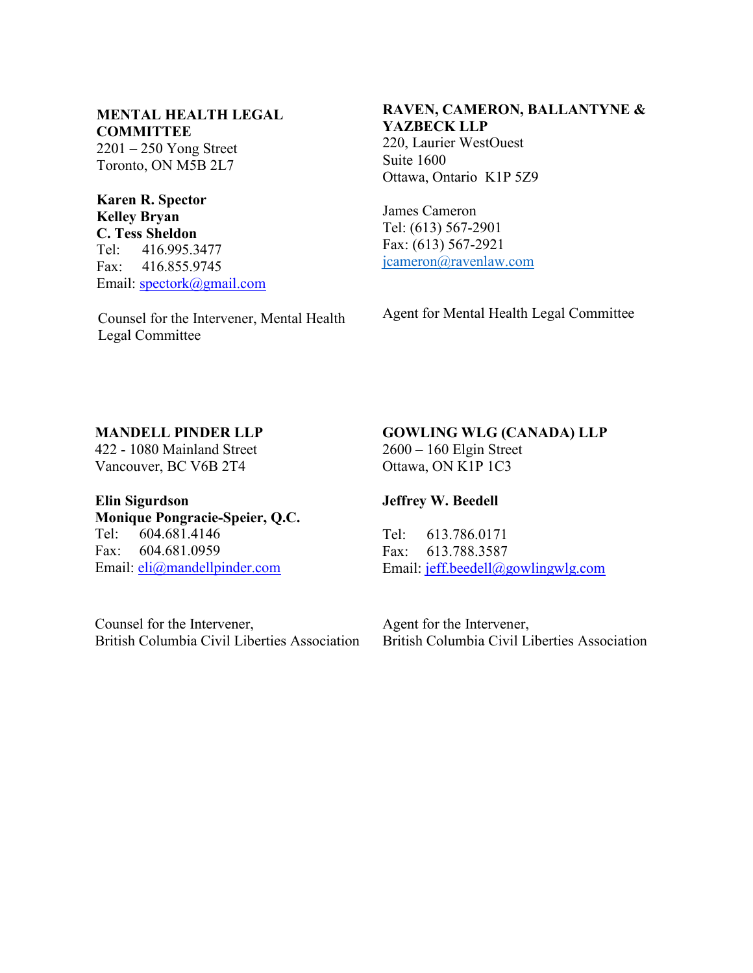## **MENTAL HEALTH LEGAL COMMITTEE**

2201 – 250 Yong Street Toronto, ON M5B 2L7

### **Karen R. Spector Kelley Bryan C. Tess Sheldon**<br>Tel: 416,995.3 Tel: 416.995.3477 Fax: 416.855.9745 Email: [spectork@gmail.com](mailto:spectork@gmail.com)

Counsel for the Intervener, Mental Health Legal Committee

## **RAVEN, CAMERON, BALLANTYNE & YAZBECK LLP**

220, Laurier WestOuest Suite 1600 Ottawa, Ontario K1P 5Z9

James Cameron Tel: (613) 567-2901 Fax: (613) 567-2921 [jcameron@ravenlaw.com](mailto:jcameron@ravenlaw.com)

Agent for Mental Health Legal Committee

## **MANDELL PINDER LLP**

422 - 1080 Mainland Street Vancouver, BC V6B 2T4

## **GOWLING WLG (CANADA) LLP** 2600 – 160 Elgin Street

Ottawa, ON K1P 1C3

## **Jeffrey W. Beedell**

Tel: 613.786.0171 Fax: 613.788.3587

**Elin Sigurdson Monique Pongracie-Speier, Q.C.** Tel: 604.681.4146 Fax: 604.681.0959 Email: [eli@mandellpinder.com](mailto:eli@mandellpinder.com)

Counsel for the Intervener,

British Columbia Civil Liberties Association

Email: [jeff.beedell@gowlingwlg.com](mailto:jeff.beedell@gowlingwlg.com)

Agent for the Intervener, British Columbia Civil Liberties Association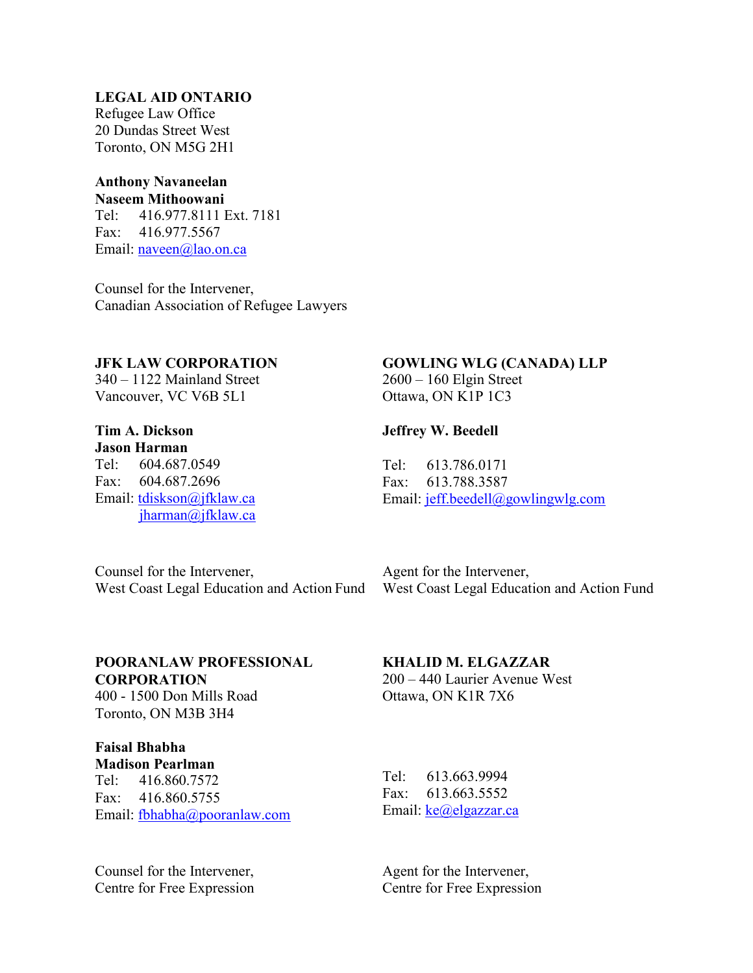#### **LEGAL AID ONTARIO**

Refugee Law Office 20 Dundas Street West Toronto, ON M5G 2H1

#### **Anthony Navaneelan Naseem Mithoowani**

Tel: 416.977.8111 Ext. 7181 Fax: 416.977.5567 Email: [naveen@lao.on.ca](mailto:naveen@lao.on.ca)

Counsel for the Intervener, Canadian Association of Refugee Lawyers

#### **JFK LAW CORPORATION**

340 – 1122 Mainland Street Vancouver, VC V6B 5L1

## **Tim A. Dickson**

**Jason Harman** Tel: 604.687.0549 Fax: 604.687.2696 Email: [tdiskson@jfklaw.ca](mailto:tdiskson@jfklaw.ca) [jharman@jfklaw.ca](mailto:jharman@jfklaw.ca)

#### **GOWLING WLG (CANADA) LLP**

2600 – 160 Elgin Street Ottawa, ON K1P 1C3

#### **Jeffrey W. Beedell**

Tel: 613.786.0171 Fax: 613.788.3587 Email: [jeff.beedell@gowlingwlg.com](mailto:jeff.beedell@gowlingwlg.com)

Counsel for the Intervener, West Coast Legal Education and Action Fund

Agent for the Intervener, West Coast Legal Education and Action Fund

## **POORANLAW PROFESSIONAL CORPORATION**

400 - 1500 Don Mills Road Toronto, ON M3B 3H4

#### **Faisal Bhabha Madison Pearlman**

Tel: 416.860.7572 Fax: 416.860.5755 Email: [fbhabha@pooranlaw.com](mailto:fbhabha@pooranlaw.com)

Counsel for the Intervener, Centre for Free Expression

## **KHALID M. ELGAZZAR**

200 – 440 Laurier Avenue West Ottawa, ON K1R 7X6

Tel: 613.663.9994 Fax: 613.663.5552 Email: [ke@elgazzar.ca](mailto:ke@elgazzar.ca)

Agent for the Intervener, Centre for Free Expression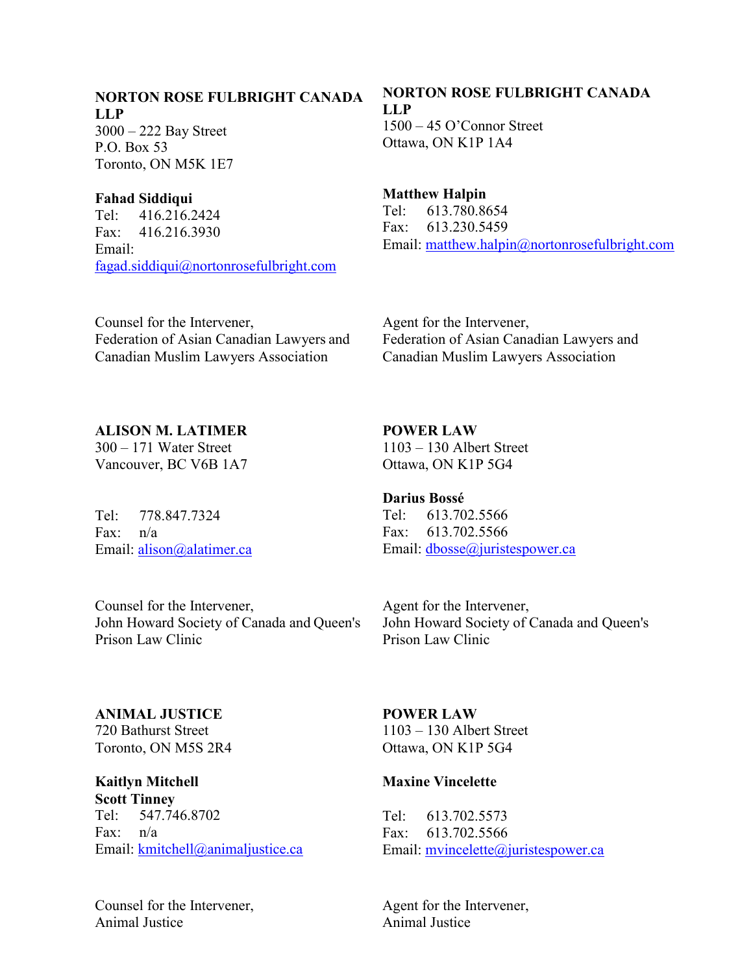#### **NORTON ROSE FULBRIGHT CANADA LLP**

3000 – 222 Bay Street P.O. Box 53 Toronto, ON M5K 1E7

#### **Fahad Siddiqui**

Tel: 416.216.2424 Fax: 416.216.3930 Email: [fagad.siddiqui@nortonrosefulbright.com](mailto:fagad.siddiqui@nortonrosefulbright.com)

### Counsel for the Intervener, Federation of Asian Canadian Lawyers and Canadian Muslim Lawyers Association

# **NORTON ROSE FULBRIGHT CANADA LLP**

1500 – 45 O'Connor Street Ottawa, ON K1P 1A4

## **Matthew Halpin**

Tel: 613.780.8654 Fax: 613.230.5459 Email: [matthew.halpin@nortonrosefulbright.com](mailto:matthew.halpin@nortonrosefulbright.com)

Agent for the Intervener, Federation of Asian Canadian Lawyers and Canadian Muslim Lawyers Association

**ALISON M. LATIMER** 300 – 171 Water Street Vancouver, BC V6B 1A7

Tel: 778.847.7324 Fax: n/a Email: [alison@alatimer.ca](mailto:alison@alatimer.ca) **POWER LAW** 1103 – 130 Albert Street Ottawa, ON K1P 5G4

**Darius Bossé** Tel: 613.702.5566 Fax: 613.702.5566 Email: [dbosse@juristespower.ca](mailto:dbosse@juristespower.ca)

Counsel for the Intervener, John Howard Society of Canada and Queen's Prison Law Clinic

Agent for the Intervener, John Howard Society of Canada and Queen's Prison Law Clinic

**ANIMAL JUSTICE** 720 Bathurst Street Toronto, ON M5S 2R4

**Kaitlyn Mitchell Scott Tinney** Tel: 547.746.8702 Fax: n/a Email: [kmitchell@animaljustice.ca](mailto:kmitchell@animaljustice.ca)

Counsel for the Intervener, Animal Justice

**POWER LAW** 1103 – 130 Albert Street Ottawa, ON K1P 5G4

#### **Maxine Vincelette**

Tel: 613.702.5573 Fax: 613.702.5566 Email: [mvincelette@juristespower.ca](mailto:mvincelette@juristespower.ca)

Agent for the Intervener, Animal Justice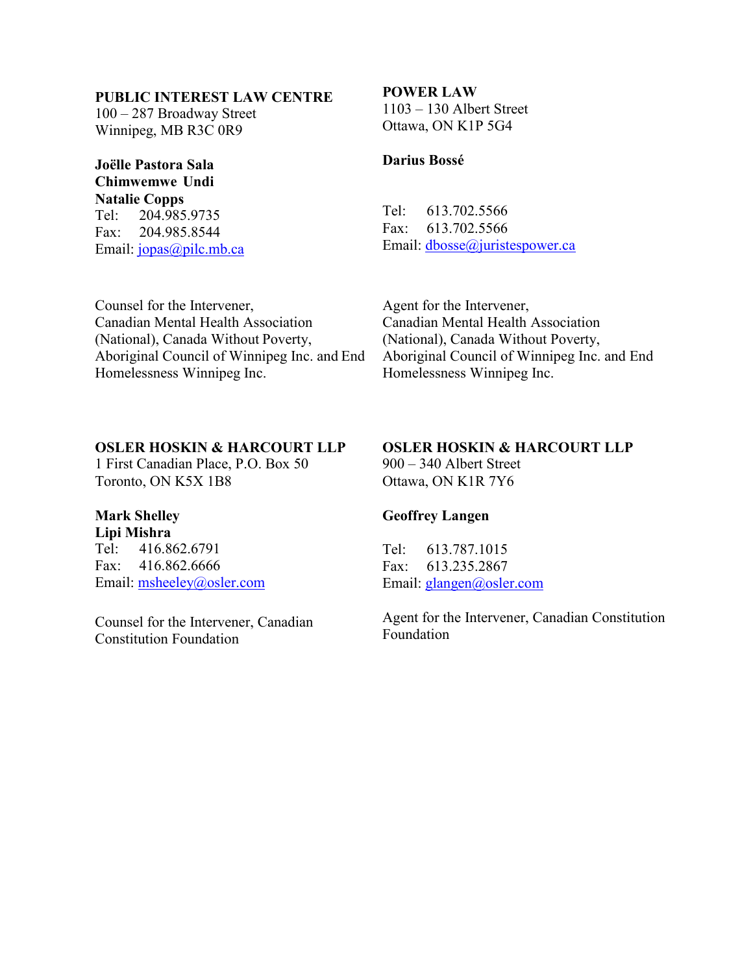### **PUBLIC INTEREST LAW CENTRE**

100 – 287 Broadway Street Winnipeg, MB R3C 0R9

## **Joëlle Pastora Sala Chimwemwe Undi Natalie Copps**

Tel: 204.985.9735 Fax: 204.985.8544 Email: [jopas@pilc.mb.ca](mailto:jopas@pilc.mb.ca)

#### **POWER LAW**

1103 – 130 Albert Street Ottawa, ON K1P 5G4

#### **Darius Bossé**

Tel: 613.702.5566 Fax: 613.702.5566 Email: [dbosse@juristespower.ca](mailto:dbosse@juristespower.ca)

Counsel for the Intervener, Canadian Mental Health Association (National), Canada Without Poverty, Aboriginal Council of Winnipeg Inc. and End Homelessness Winnipeg Inc.

Agent for the Intervener, Canadian Mental Health Association (National), Canada Without Poverty, Aboriginal Council of Winnipeg Inc. and End Homelessness Winnipeg Inc.

#### **OSLER HOSKIN & HARCOURT LLP**

1 First Canadian Place, P.O. Box 50 Toronto, ON K5X 1B8

# **Mark Shelley**

**Lipi Mishra** Tel: 416.862.6791 Fax: 416.862.6666 Email: [msheeley@osler.com](mailto:msheeley@osler.com)

Counsel for the Intervener, Canadian Constitution Foundation

## **OSLER HOSKIN & HARCOURT LLP**

900 – 340 Albert Street Ottawa, ON K1R 7Y6

#### **Geoffrey Langen**

Tel: 613.787.1015 Fax: 613.235.2867 Email: [glangen@osler.com](mailto:glangen@osler.com)

Agent for the Intervener, Canadian Constitution Foundation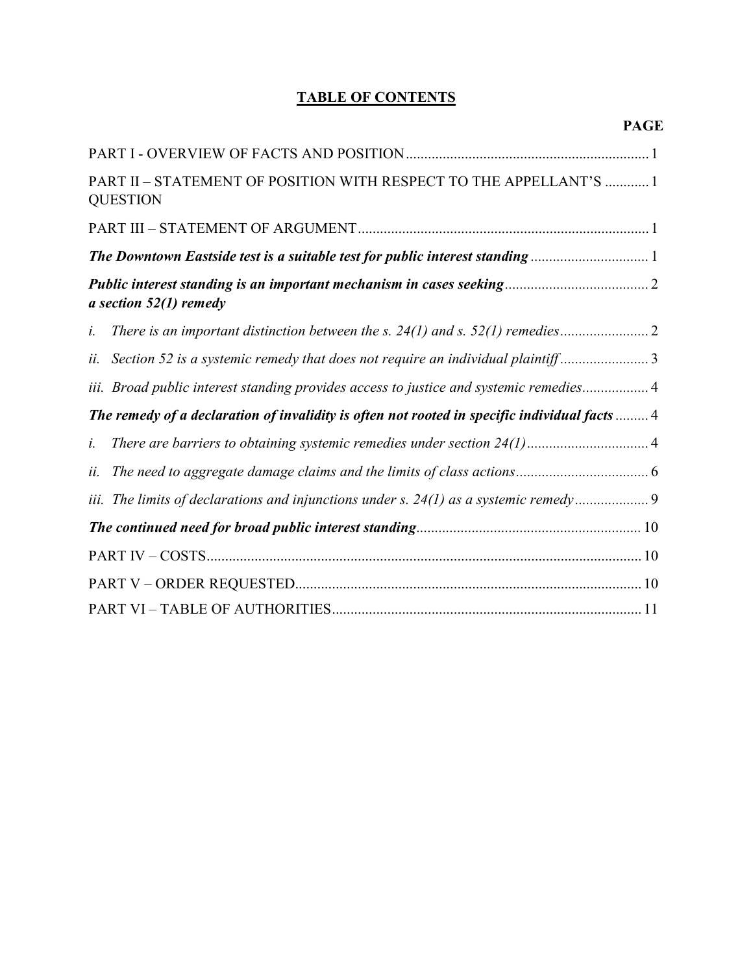## **TABLE OF CONTENTS**

|     | <b>PAGE</b>                                                                                   |
|-----|-----------------------------------------------------------------------------------------------|
|     |                                                                                               |
|     | PART II - STATEMENT OF POSITION WITH RESPECT TO THE APPELLANT'S  1<br><b>QUESTION</b>         |
|     |                                                                                               |
|     | The Downtown Eastside test is a suitable test for public interest standing 1                  |
|     | a section $52(1)$ remedy                                                                      |
| i.  |                                                                                               |
| ii. | Section 52 is a systemic remedy that does not require an individual plaintiff3                |
|     | iii. Broad public interest standing provides access to justice and systemic remedies 4        |
|     | The remedy of a declaration of invalidity is often not rooted in specific individual facts  4 |
| i.  |                                                                                               |
| ii. |                                                                                               |
|     |                                                                                               |
|     |                                                                                               |
|     |                                                                                               |
|     |                                                                                               |
|     |                                                                                               |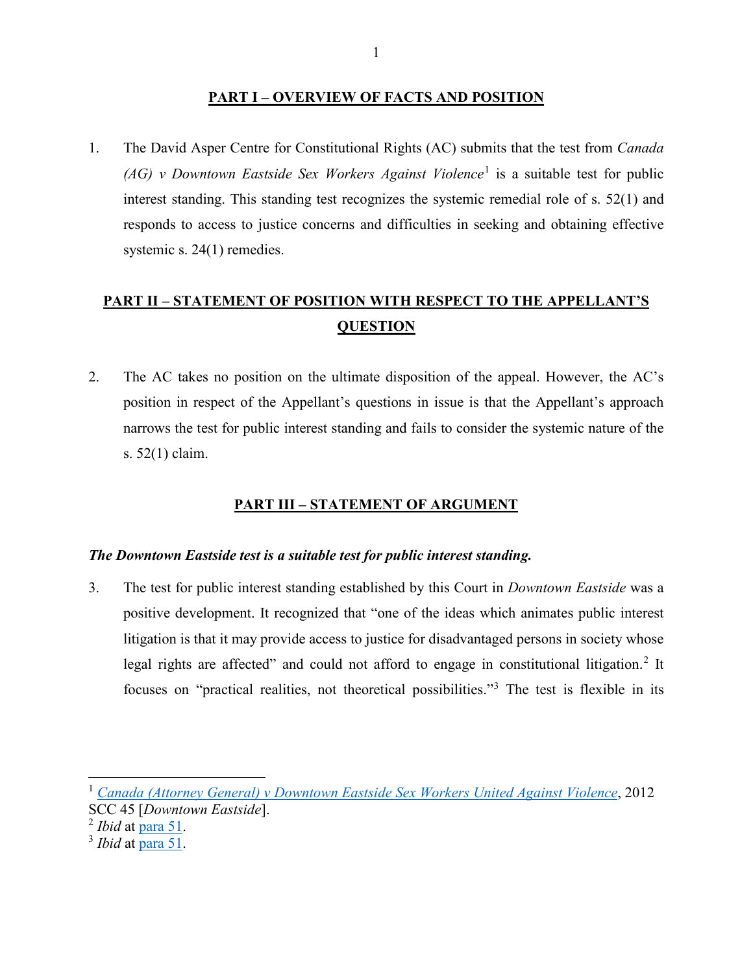#### **PART I – OVERVIEW OF FACTS AND POSITION**

1. The David Asper Centre for Constitutional Rights (AC) submits that the test from *Canada (AG) v Downtown Eastside Sex Workers Against Violence*[1](#page-12-0) is a suitable test for public interest standing. This standing test recognizes the systemic remedial role of s. 52(1) and responds to access to justice concerns and difficulties in seeking and obtaining effective systemic s. 24(1) remedies.

# **PART II – STATEMENT OF POSITION WITH RESPECT TO THE APPELLANT'S QUESTION**

2. The AC takes no position on the ultimate disposition of the appeal. However, the AC's position in respect of the Appellant's questions in issue is that the Appellant's approach narrows the test for public interest standing and fails to consider the systemic nature of the s. 52(1) claim.

## **PART III – STATEMENT OF ARGUMENT**

#### *The Downtown Eastside test is a suitable test for public interest standing.*

3. The test for public interest standing established by this Court in *Downtown Eastside* was a positive development. It recognized that "one of the ideas which animates public interest litigation is that it may provide access to justice for disadvantaged persons in society whose legal rights are affected" and could not afford to engage in constitutional litigation.<sup>[2](#page-12-1)</sup> It focuses on "practical realities, not theoretical possibilities."[3](#page-12-2) The test is flexible in its

l

<span id="page-12-0"></span><sup>1</sup> *[Canada \(Attorney General\) v Downtown Eastside Sex Workers United Against Violence](https://canlii.ca/t/fss7s)*, 2012 SCC 45 [*Downtown Eastside*].

<span id="page-12-1"></span><sup>2</sup> *Ibid* at [para 51.](https://canlii.ca/t/fss7s#par51)

<span id="page-12-2"></span><sup>3</sup> *Ibid* at [para 51.](https://canlii.ca/t/fss7s#par51)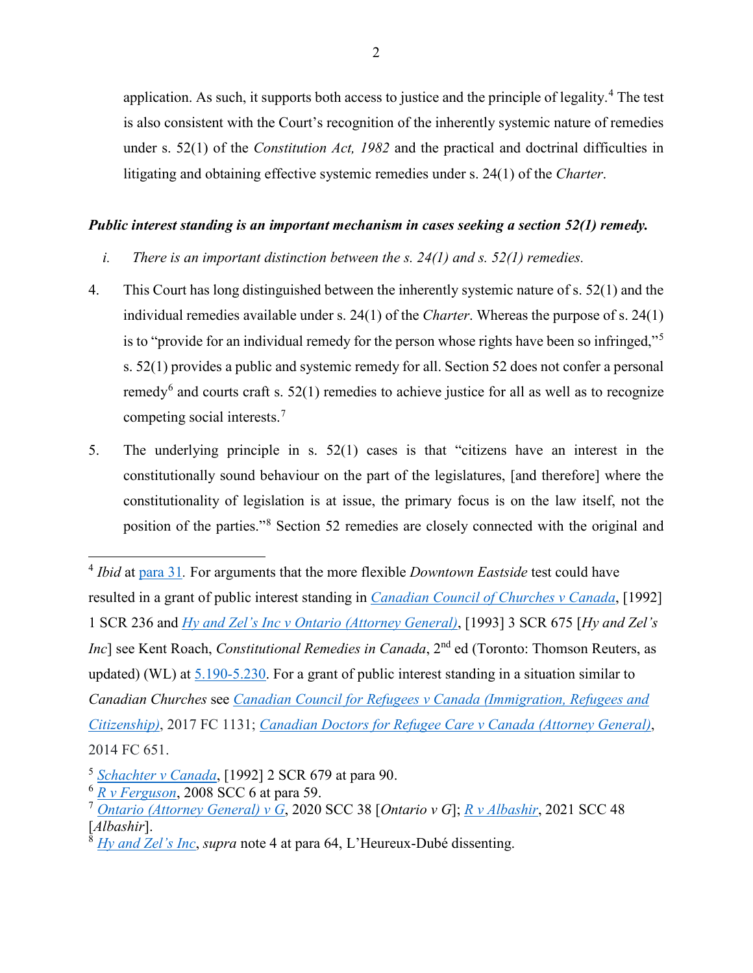application. As such, it supports both access to justice and the principle of legality.[4](#page-13-0) The test is also consistent with the Court's recognition of the inherently systemic nature of remedies under s. 52(1) of the *Constitution Act, 1982* and the practical and doctrinal difficulties in litigating and obtaining effective systemic remedies under s. 24(1) of the *Charter*.

#### *Public interest standing is an important mechanism in cases seeking a section 52(1) remedy.*

- *i. There is an important distinction between the s. 24(1) and s. 52(1) remedies.*
- 4. This Court has long distinguished between the inherently systemic nature of s. 52(1) and the individual remedies available under s. 24(1) of the *Charter*. Whereas the purpose of s. 24(1) is to "provide for an individual remedy for the person whose rights have been so infringed,"[5](#page-13-1) s. 52(1) provides a public and systemic remedy for all. Section 52 does not confer a personal remedy<sup>[6](#page-13-2)</sup> and courts craft s. 52(1) remedies to achieve justice for all as well as to recognize competing social interests.[7](#page-13-3)
- 5. The underlying principle in s. 52(1) cases is that "citizens have an interest in the constitutionally sound behaviour on the part of the legislatures, [and therefore] where the constitutionality of legislation is at issue, the primary focus is on the law itself, not the position of the parties."[8](#page-13-4) Section 52 remedies are closely connected with the original and

 $\overline{a}$ 

<span id="page-13-0"></span><sup>4</sup> *Ibid* at [para 31](https://canlii.ca/t/fss7s#par31)*.* For arguments that the more flexible *Downtown Eastside* test could have resulted in a grant of public interest standing in *[Canadian Council of Churches v Canada](https://canlii.ca/t/1fsg5)*, [1992] 1 SCR 236 and *[Hy and Zel's Inc v Ontario \(Attorney General\)](https://canlii.ca/t/1frzs)*, [1993] 3 SCR 675 [*Hy and Zel's Inc*] see Kent Roach, *Constitutional Remedies in Canada*, 2<sup>nd</sup> ed (Toronto: Thomson Reuters, as updated) (WL) at [5.190-5.230.](https://proview-thomsonreuters-com.myaccess.library.utoronto.ca/title.html?redirect=true&titleKey=CW%2FEG%2FROACHCRC_EN%2Fv1.202011041239&titleStage=F&titleAcct=ia744803f0000016124529d84b5629f04#sl=e&eid=441e066692b87cd17fdebdb30593df80&eat=Ib70d8b070a8c11ec8caa91348e38181062&pg=51&psl=&nvgS=false) For a grant of public interest standing in a situation similar to *Canadian Churches* see *[Canadian Council for Refugees v Canada \(Immigration, Refugees and](https://canlii.ca/t/hpskl)  [Citizenship\)](https://canlii.ca/t/hpskl)*, 2017 FC 1131; *[Canadian Doctors for Refugee Care v Canada \(Attorney General\)](https://canlii.ca/t/g81sg)*, 2014 FC 651.

<span id="page-13-1"></span><sup>5</sup> *[Schachter v Canada](https://canlii.ca/t/1fs9l)*, [1992] 2 SCR 679 at para 90.

<span id="page-13-2"></span><sup>6</sup> *[R v Ferguson](https://canlii.ca/t/1vv90)*, 2008 SCC 6 at para 59.

<span id="page-13-3"></span><sup>7</sup> *[Ontario \(Attorney General\) v G](https://canlii.ca/t/jbpb4)*, 2020 SCC 38 [*Ontario v G*]; *R [v Albashir](https://canlii.ca/t/jkhxp)*, 2021 SCC 48 [*Albashir*].

<span id="page-13-4"></span><sup>8</sup> *[Hy and Zel's Inc](https://canlii.ca/t/1frzs)*, *supra* note 4 at para 64, L'Heureux-Dubé dissenting.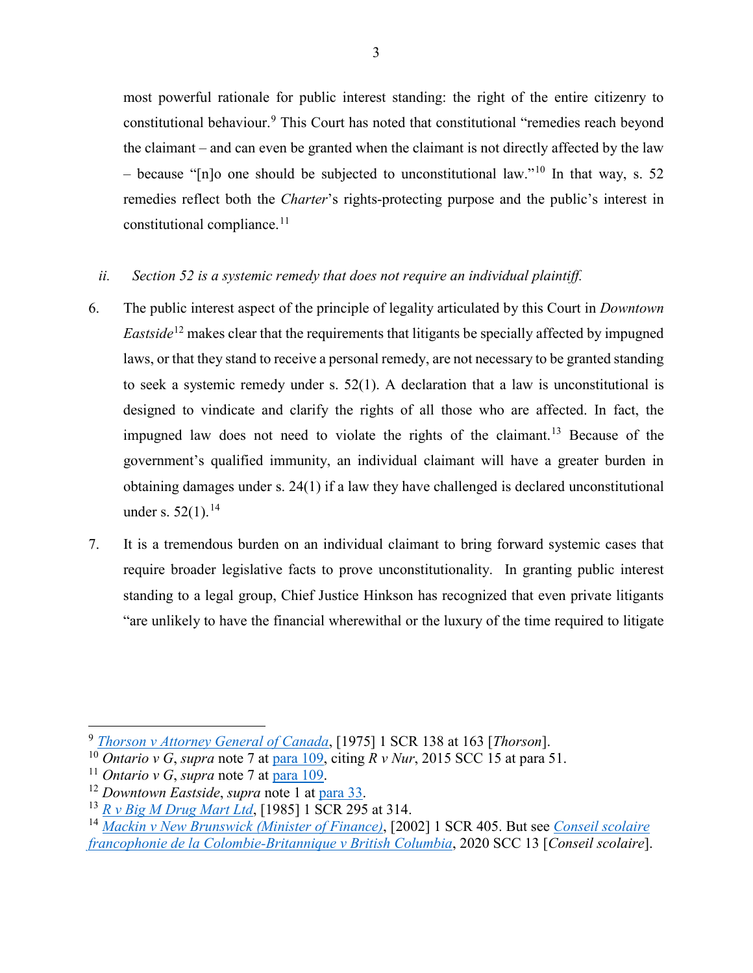most powerful rationale for public interest standing: the right of the entire citizenry to constitutional behaviour.[9](#page-14-0) This Court has noted that constitutional "remedies reach beyond the claimant – and can even be granted when the claimant is not directly affected by the law – because "[n]o one should be subjected to unconstitutional law."<sup>[10](#page-14-1)</sup> In that way, s. 52 remedies reflect both the *Charter*'s rights-protecting purpose and the public's interest in constitutional compliance. $11$ 

#### *ii. Section 52 is a systemic remedy that does not require an individual plaintiff.*

- 6. The public interest aspect of the principle of legality articulated by this Court in *Downtown Eastside*<sup>[12](#page-14-3)</sup> makes clear that the requirements that litigants be specially affected by impugned laws, or that they stand to receive a personal remedy, are not necessary to be granted standing to seek a systemic remedy under s. 52(1). A declaration that a law is unconstitutional is designed to vindicate and clarify the rights of all those who are affected. In fact, the impugned law does not need to violate the rights of the claimant.<sup>[13](#page-14-4)</sup> Because of the government's qualified immunity, an individual claimant will have a greater burden in obtaining damages under s. 24(1) if a law they have challenged is declared unconstitutional under s.  $52(1).^{14}$  $52(1).^{14}$  $52(1).^{14}$
- 7. It is a tremendous burden on an individual claimant to bring forward systemic cases that require broader legislative facts to prove unconstitutionality. In granting public interest standing to a legal group, Chief Justice Hinkson has recognized that even private litigants "are unlikely to have the financial wherewithal or the luxury of the time required to litigate

 $\overline{a}$ 

<span id="page-14-5"></span><span id="page-14-4"></span><sup>14</sup> *[Mackin v New Brunswick \(Minister of Finance\)](https://canlii.ca/t/51vb)*, [2002] 1 SCR 405. But see *[Conseil scolaire](https://canlii.ca/t/j882q)  [francophonie de la Colombie-Britannique v British Columbia](https://canlii.ca/t/j882q)*, 2020 SCC 13 [*Conseil scolaire*].

<span id="page-14-0"></span><sup>9</sup> *[Thorson v Attorney General of Canada](https://canlii.ca/t/1twxf)*, [1975] 1 SCR 138 at 163 [*Thorson*].

<span id="page-14-1"></span><sup>&</sup>lt;sup>10</sup> *Ontario v G, supra* note 7 at [para 109,](https://canlii.ca/t/jbpb4#par109) citing  $\overline{R}$  *v Nur*, 2015 SCC 15 at para 51.<br><sup>11</sup> *Ontario v G, supra* note 7 at para 109.

<span id="page-14-2"></span>

<span id="page-14-3"></span><sup>&</sup>lt;sup>12</sup> Downtown Eastside, *supra* note 1 at [para 33.](https://utoronto-my.sharepoint.com/personal/elise_burgert_mail_utoronto_ca/Documents/Canada%20(Attorney%20General)%20v.%20Downtown%20Eastside%20Sex%20Workers%20United%20Against%20Violence%20Society,%202012%20SCC%2045%20(CanLII),%20%5b2012%5d%202%20SCR%20524,%20at%20para%2033,%20%3chttps:/canlii.ca/t/fss7s#par33%3E,%20retrieved%20on%202021-11-14)

<sup>13</sup> *[R v Big M Drug Mart Ltd](https://canlii.ca/t/1fv2b)*, [1985] 1 SCR 295 at 314.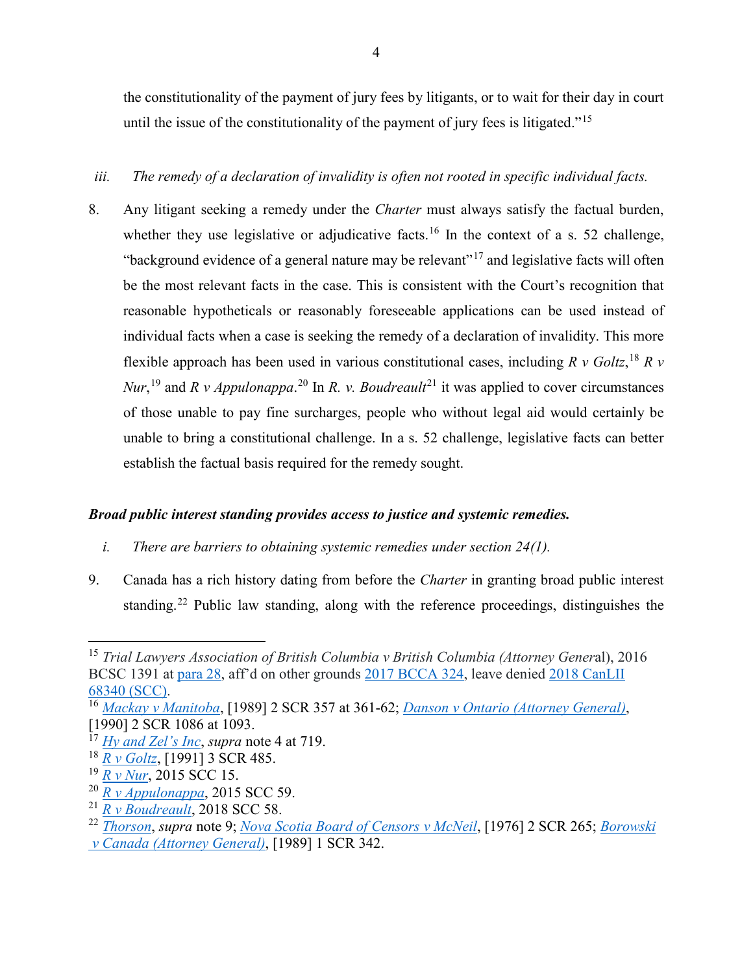the constitutionality of the payment of jury fees by litigants, or to wait for their day in court until the issue of the constitutionality of the payment of jury fees is litigated."<sup>[15](#page-15-0)</sup>

#### *iii. The remedy of a declaration of invalidity is often not rooted in specific individual facts.*

8. Any litigant seeking a remedy under the *Charter* must always satisfy the factual burden, whether they use legislative or adjudicative facts.<sup>[16](#page-15-1)</sup> In the context of a s. 52 challenge, "background evidence of a general nature may be relevant"<sup>[17](#page-15-2)</sup> and legislative facts will often be the most relevant facts in the case. This is consistent with the Court's recognition that reasonable hypotheticals or reasonably foreseeable applications can be used instead of individual facts when a case is seeking the remedy of a declaration of invalidity. This more flexible approach has been used in various constitutional cases, including *R v Goltz*, [18](#page-15-3) *R v Nur*,<sup>[19](#page-15-4)</sup> and *R v Appulonappa*.<sup>[20](#page-15-5)</sup> In *R. v. Boudreault*<sup>[21](#page-15-6)</sup> it was applied to cover circumstances of those unable to pay fine surcharges, people who without legal aid would certainly be unable to bring a constitutional challenge. In a s. 52 challenge, legislative facts can better establish the factual basis required for the remedy sought.

#### *Broad public interest standing provides access to justice and systemic remedies.*

- *i. There are barriers to obtaining systemic remedies under section 24(1).*
- 9. Canada has a rich history dating from before the *Charter* in granting broad public interest standing.[22](#page-15-7) Public law standing, along with the reference proceedings, distinguishes the

 $\overline{a}$ 

<span id="page-15-5"></span><span id="page-15-4"></span><sup>20</sup> *[R v Appulonappa](https://canlii.ca/t/gm8wq)*, 2015 SCC 59.

<span id="page-15-0"></span><sup>15</sup> *Trial Lawyers Association of British Columbia v British Columbia (Attorney Gener*al), 2016 BCSC 1391 at [para 28,](https://canlii.ca/t/gsp2l#par28) aff'd on other grounds [2017 BCCA 324,](https://canlii.ca/t/h5zpx) leave denied [2018 CanLII](https://canlii.ca/t/ht5n7)  [68340 \(SCC\).](https://canlii.ca/t/ht5n7) 16 *[Mackay v Manitoba](https://canlii.ca/t/1ft3c)*, [1989] 2 SCR 357 at 361-62; *[Danson v Ontario \(Attorney General\)](https://canlii.ca/t/1fst8)*,

<span id="page-15-1"></span><sup>[1990] 2</sup> SCR 1086 at 1093.

<span id="page-15-2"></span><sup>17</sup> *[Hy and Zel's Inc](https://canlii.ca/t/1frzs)*, *supra* note 4 at 719.

<span id="page-15-3"></span><sup>18</sup> *[R v Goltz](https://canlii.ca/t/1fsh5)*, [1991] 3 SCR 485.

<sup>19</sup> *[R v Nur](https://canlii.ca/t/gh5ms)*, 2015 SCC 15.

<span id="page-15-6"></span><sup>21</sup> *[R v Boudreault](https://canlii.ca/t/hwkqj)*, 2018 SCC 58.

<span id="page-15-7"></span><sup>22</sup> *[Thorson](https://canlii.ca/t/1twxf)*, *supra* note 9; *[Nova Scotia Board of Censors v McNeil](https://canlii.ca/t/1mzjb)*, [1976] 2 SCR 265; *[Borowski](https://canlii.ca/t/1ft7d) [v Canada \(Attorney General\)](https://canlii.ca/t/1ft7d)*, [1989] 1 SCR 342.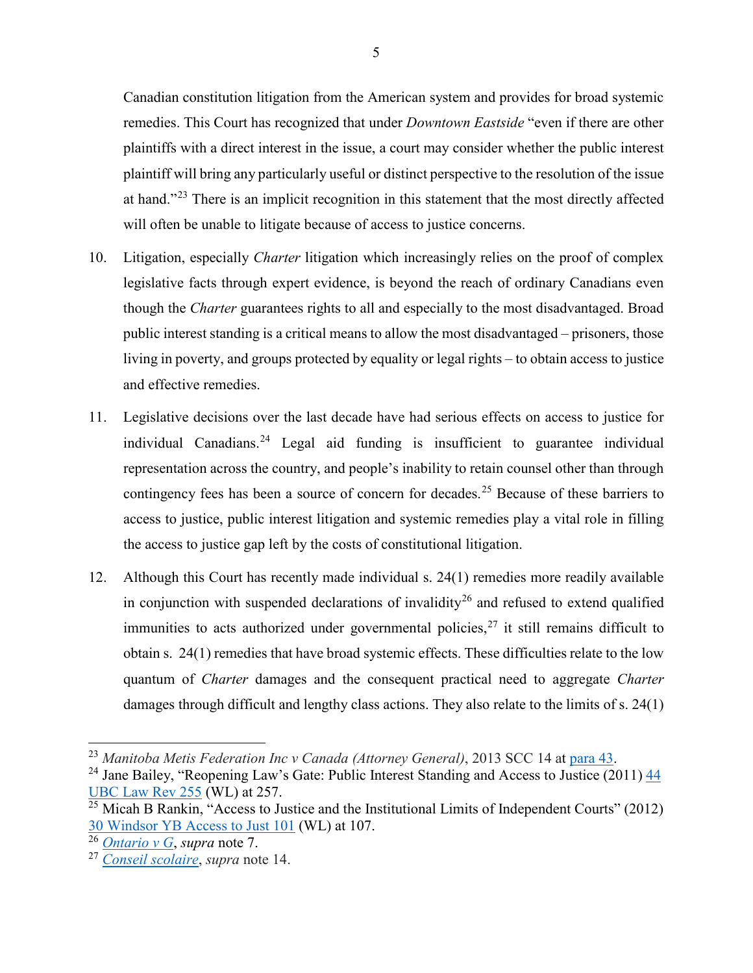Canadian constitution litigation from the American system and provides for broad systemic remedies. This Court has recognized that under *Downtown Eastside* "even if there are other plaintiffs with a direct interest in the issue, a court may consider whether the public interest plaintiff will bring any particularly useful or distinct perspective to the resolution of the issue at hand."<sup>[23](#page-16-0)</sup> There is an implicit recognition in this statement that the most directly affected will often be unable to litigate because of access to justice concerns.

- 10. Litigation, especially *Charter* litigation which increasingly relies on the proof of complex legislative facts through expert evidence, is beyond the reach of ordinary Canadians even though the *Charter* guarantees rights to all and especially to the most disadvantaged. Broad public interest standing is a critical means to allow the most disadvantaged – prisoners, those living in poverty, and groups protected by equality or legal rights – to obtain access to justice and effective remedies.
- 11. Legislative decisions over the last decade have had serious effects on access to justice for individual Canadians.<sup>[24](#page-16-1)</sup> Legal aid funding is insufficient to guarantee individual representation across the country, and people's inability to retain counsel other than through contingency fees has been a source of concern for decades.<sup>[25](#page-16-2)</sup> Because of these barriers to access to justice, public interest litigation and systemic remedies play a vital role in filling the access to justice gap left by the costs of constitutional litigation.
- 12. Although this Court has recently made individual s. 24(1) remedies more readily available in conjunction with suspended declarations of invalidity<sup>[26](#page-16-3)</sup> and refused to extend qualified immunities to acts authorized under governmental policies,<sup>[27](#page-16-4)</sup> it still remains difficult to obtain s. 24(1) remedies that have broad systemic effects. These difficulties relate to the low quantum of *Charter* damages and the consequent practical need to aggregate *Charter*  damages through difficult and lengthy class actions. They also relate to the limits of s. 24(1)

 $\overline{\phantom{a}}$ 

<span id="page-16-0"></span><sup>23</sup> *Manitoba Metis Federation Inc v Canada (Attorney General)*, 2013 SCC 14 at [para 43.](https://canlii.ca/t/fwfft#par43)

<span id="page-16-1"></span><sup>&</sup>lt;sup>24</sup> Jane Bailey, "Reopening Law's Gate: Public Interest Standing and Access to Justice (2011)  $\frac{44}{3}$ [UBC Law Rev 255](https://nextcanada.westlaw.com/Document/Ida9f6f7df7df11e9adfea82903531a62/View/FullText.html?navigationPath=Search%2Fv1%2Fresults%2Fnavigation%2Fi0ad62d340000017d6bf1fa9f85e4c726%3Fppcid%3Dfbfff0eeb7444518ac019f537a333a61%26Nav%3DCAN_JOURNALS%26fragmentIdentifier%3DIda9f6f7df7df11e9adfea82903531a62%26parentRank%3D0%26startIndex%3D1%26contextData%3D%2528sc.Search%2529%26transitionType%3DSearchItem&listSource=Search&listPageSource=84b12e060e1335b4501f20cfaf175405&list=CAN_JOURNALS&rank=15&sessionScopeId=9ad198cab6f95dad5a20ce89de5ee55460ac3ce47751ee6948c1767e332020f4&originationContext=Search%20Result&transitionType=SearchItem&contextData=%28sc.Search%29) (WL) at 257.

<span id="page-16-2"></span> $\frac{25 \text{ Micah B}$  Rankin, "Access to Justice and the Institutional Limits of Independent Courts" (2012) [30 Windsor YB Access to Just 101](https://nextcanada.westlaw.com/Document/I1d1852239e2111e498db8b09b4f043e0/View/FullText.html?navigationPath=Search%2Fv1%2Fresults%2Fnavigation%2Fi0ad62d340000017d6c021a9185e4cb1a%3Fppcid%3D1035beebc2da4ce78e7e904d60dec206%26Nav%3DCAN_JOURNALS%26fragmentIdentifier%3DI1d1852239e2111e498db8b09b4f043e0%26parentRank%3D0%26startIndex%3D1%26contextData%3D%2528sc.Search%2529%26transitionType%3DSearchItem&listSource=Search&listPageSource=0c46595187655813ba84bbd3cf13f551&list=CAN_JOURNALS&rank=2&sessionScopeId=9ad198cab6f95dad5a20ce89de5ee55460ac3ce47751ee6948c1767e332020f4&originationContext=Search%20Result&transitionType=SearchItem&contextData=%28sc.Search%29) (WL) at 107.

<span id="page-16-3"></span><sup>26</sup> *[Ontario v G](https://canlii.ca/t/jbpb4)*, *supra* note 7.

<span id="page-16-4"></span><sup>27</sup> *[Conseil scolaire](https://canlii.ca/t/j882q)*, *supra* note 14.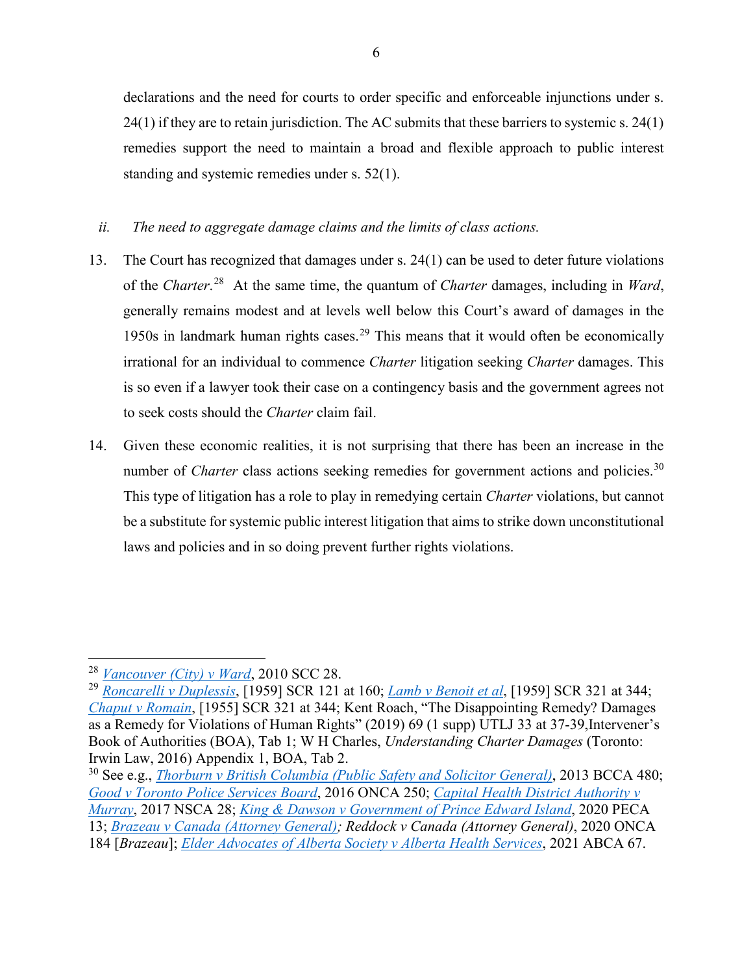declarations and the need for courts to order specific and enforceable injunctions under s.  $24(1)$  if they are to retain jurisdiction. The AC submits that these barriers to systemic s.  $24(1)$ remedies support the need to maintain a broad and flexible approach to public interest standing and systemic remedies under s. 52(1).

*ii. The need to aggregate damage claims and the limits of class actions.*

- 13. The Court has recognized that damages under s. 24(1) can be used to deter future violations of the *Charter*. [28](#page-17-0) At the same time, the quantum of *Charter* damages, including in *Ward*, generally remains modest and at levels well below this Court's award of damages in the 1950s in landmark human rights cases.<sup>[29](#page-17-1)</sup> This means that it would often be economically irrational for an individual to commence *Charter* litigation seeking *Charter* damages. This is so even if a lawyer took their case on a contingency basis and the government agrees not to seek costs should the *Charter* claim fail.
- 14. Given these economic realities, it is not surprising that there has been an increase in the number of *Charter* class actions seeking remedies for government actions and policies.<sup>[30](#page-17-2)</sup> This type of litigation has a role to play in remedying certain *Charter* violations, but cannot be a substitute for systemic public interest litigation that aims to strike down unconstitutional laws and policies and in so doing prevent further rights violations.

 $\overline{\phantom{a}}$ 

<sup>28</sup> *[Vancouver \(City\) v Ward](https://canlii.ca/t/2bq8r)*, 2010 SCC 28.

<span id="page-17-1"></span><span id="page-17-0"></span><sup>29</sup> *[Roncarelli v Duplessis](https://canlii.ca/t/22wmw)*, [1959] SCR 121 at 160; *[Lamb v Benoit et al](https://canlii.ca/t/22wn6)*, [1959] SCR 321 at 344; *[Chaput v Romain](https://canlii.ca/t/22tpl)*, [1955] SCR 321 at 344; Kent Roach, "The Disappointing Remedy? Damages as a Remedy for Violations of Human Rights" (2019) 69 (1 supp) UTLJ 33 at 37-39,Intervener's Book of Authorities (BOA), Tab 1; W H Charles, *Understanding Charter Damages* (Toronto: Irwin Law, 2016) Appendix 1, BOA, Tab 2.<br><sup>30</sup> See e.g., *[Thorburn v British Columbia \(Public Safety and Solicitor General\)](https://canlii.ca/t/g1qv6)*, 2013 BCCA 480;

<span id="page-17-2"></span>*[Good v Toronto Police Services Board](https://canlii.ca/t/gp4bz)*, 2016 ONCA 250; *[Capital Health District Authority v](https://canlii.ca/t/h36c1)  [Murray](https://canlii.ca/t/h36c1)*, 2017 NSCA 28; *[King & Dawson v Government of Prince Edward Island](https://canlii.ca/t/jbcsn)*, 2020 PECA 13; *[Brazeau v Canada \(Attorney General\);](https://canlii.ca/t/j5s7r) Reddock v Canada (Attorney General)*, 2020 ONCA 184 [*Brazeau*]; *[Elder Advocates of Alberta Society v Alberta Health Services](https://canlii.ca/t/jd8z4)*, 2021 ABCA 67.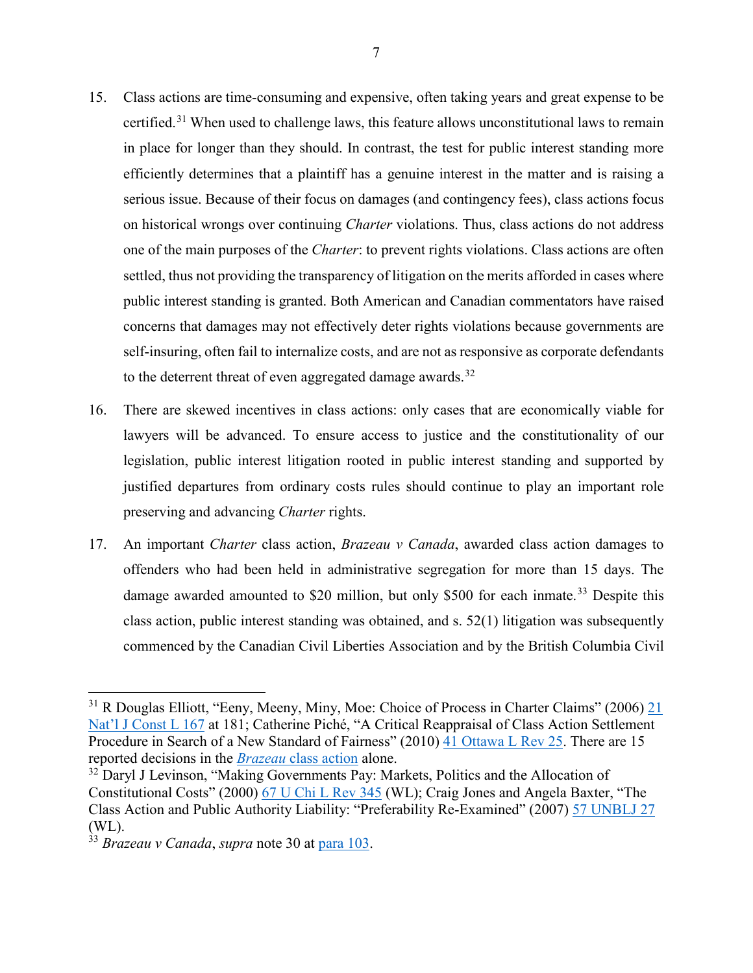- 15. Class actions are time-consuming and expensive, often taking years and great expense to be certified.[31](#page-18-0) When used to challenge laws, this feature allows unconstitutional laws to remain in place for longer than they should. In contrast, the test for public interest standing more efficiently determines that a plaintiff has a genuine interest in the matter and is raising a serious issue. Because of their focus on damages (and contingency fees), class actions focus on historical wrongs over continuing *Charter* violations. Thus, class actions do not address one of the main purposes of the *Charter*: to prevent rights violations. Class actions are often settled, thus not providing the transparency of litigation on the merits afforded in cases where public interest standing is granted. Both American and Canadian commentators have raised concerns that damages may not effectively deter rights violations because governments are self-insuring, often fail to internalize costs, and are not as responsive as corporate defendants to the deterrent threat of even aggregated damage awards.<sup>[32](#page-18-1)</sup>
- 16. There are skewed incentives in class actions: only cases that are economically viable for lawyers will be advanced. To ensure access to justice and the constitutionality of our legislation, public interest litigation rooted in public interest standing and supported by justified departures from ordinary costs rules should continue to play an important role preserving and advancing *Charter* rights.
- 17. An important *Charter* class action, *Brazeau v Canada*, awarded class action damages to offenders who had been held in administrative segregation for more than 15 days. The damage awarded amounted to \$20 million, but only \$500 for each inmate.<sup>[33](#page-18-2)</sup> Despite this class action, public interest standing was obtained, and s. 52(1) litigation was subsequently commenced by the Canadian Civil Liberties Association and by the British Columbia Civil

l

<span id="page-18-0"></span><sup>&</sup>lt;sup>31</sup> R Douglas Elliott, "Eeny, Meeny, Miny, Moe: Choice of Process in Charter Claims" (2006) 21 [Nat'l J Const L 167](https://nextcanada.westlaw.com/Document/Ia1f124a13b7511dc8120b359c1a23e50/View/FullText.html?navigationPath=%2FFoldering%2Fv3%2FNatashaWilliams96%2Fhistory%2Fitems%2FdocumentNavigation%2Fa9096f17-11c5-4f4b-b020-f4d25215a7c6%2FyflTosLWT%7C5DUef25vLwuzjjDrM7avg%7CJP1uJhxDER%7CUvDi4U57ytn3DFnGuLISKgizsHsMMocPScouqIzNMMzR0%60xwfr92J&listSource=Foldering&list=historyDocuments&rank=24&sessionScopeId=1ca398de5cb4850b80144cfe459445d04acf864de98cf24f004144919b9f1696&originationContext=MyResearchHistoryAll&transitionType=MyResearchHistoryItem&contextData=%28oc.Search%29&VR=3.0&RS=WLCA1.0) at 181; Catherine Piché, "A Critical Reappraisal of Class Action Settlement Procedure in Search of a New Standard of Fairness" (2010) [41 Ottawa L Rev 25.](https://nextcanada.westlaw.com/Document/I07aed4745f2911df9b8c850332338889/View/FullText.html?navigationPath=Search%2Fv1%2Fresults%2Fnavigation%2Fi0ad62d2c0000017d6233ac8597422936%3Fppcid%3D7ad43e80bae94497a6bb90d6cac78f4a%26Nav%3DCAN_JOURNALS%26fragmentIdentifier%3DI07aed4745f2911df9b8c850332338889%26parentRank%3D0%26startIndex%3D1%26contextData%3D%2528sc.Search%2529%26transitionType%3DSearchItem&listSource=Search&listPageSource=f923d9e1872d62e3bc1b2c3094518faa&list=CAN_JOURNALS&rank=1&sessionScopeId=1ca398de5cb4850b80144cfe459445d04acf864de98cf24f004144919b9f1696&originationContext=Search%20Result&transitionType=SearchItem&contextData=%28sc.Search%29) There are 15 reported decisions in the *Brazeau* [class action](https://www.canlii.org/en/on/onca/doc/2020/2020onca184/2020onca184.html#related) alone.

<span id="page-18-1"></span><sup>&</sup>lt;sup>32</sup> Daryl J Levinson, "Making Governments Pay: Markets, Politics and the Allocation of Constitutional Costs" (2000) [67 U Chi L Rev 345](https://1.next.westlaw.com/Document/I0dd8b8c14b2d11db99a18fc28eb0d9ae/View/FullText.html?transitionType=Default&contextData=(sc.Default)&firstPage=true) (WL); Craig Jones and Angela Baxter, "The Class Action and Public Authority Liability: "Preferability Re-Examined" (2007) [57 UNBLJ 27](https://nextcanada.westlaw.com/Document/I0c0f4492059411df9b8c850332338889/View/FullText.html?navigationPath=Search%2Fv1%2Fresults%2Fnavigation%2Fi0ad62d2e0000017d57c9f452ee75fb2e%3Fppcid%3Dad5838aa8dd54beb88a8ecb5687ff5b3%26Nav%3DCAN_JOURNALS%26fragmentIdentifier%3DI0c0f4492059411df9b8c850332338889%26parentRank%3D0%26startIndex%3D1%26contextData%3D%2528sc.Search%2529%26transitionType%3DSearchItem&listSource=Search&listPageSource=bb6613c6b5eefae55a526fa1b0743316&list=CAN_JOURNALS&rank=4&sessionScopeId=eab9306d65094b3914cdfa3c6de9296d75a1e6185da0a0bb94ad0ab8e9ca6d72&originationContext=Search%20Result&transitionType=SearchItem&contextData=%28sc.Search%29) (WL).

<span id="page-18-2"></span><sup>33</sup> *Brazeau v Canada*, *supra* note 30 at [para 103.](https://canlii.ca/t/j5s7r#par103)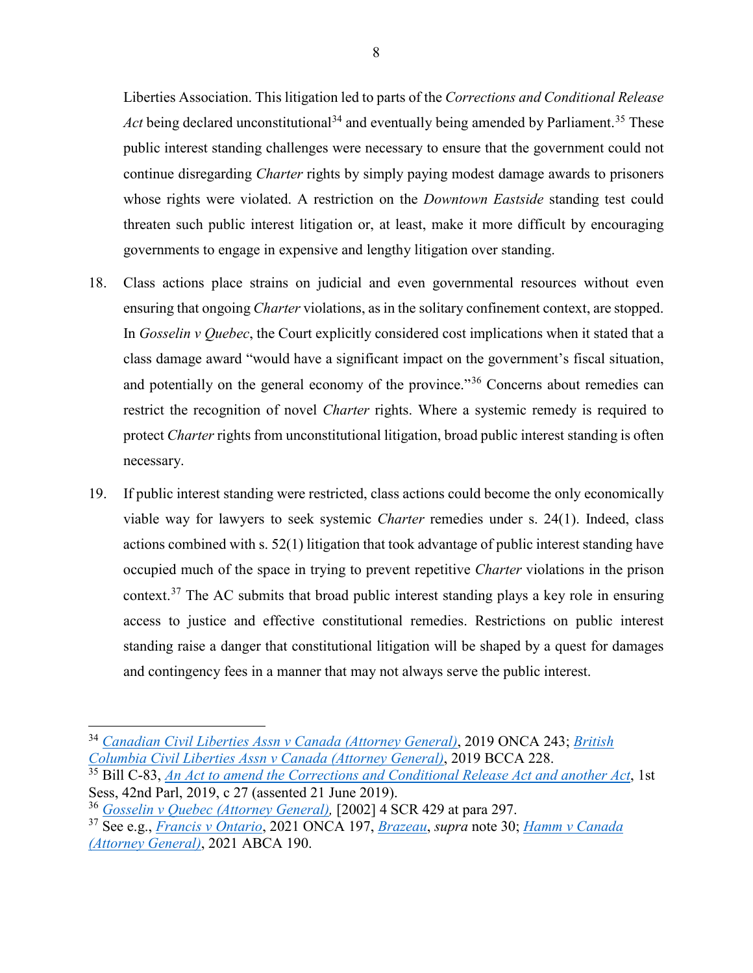Liberties Association. This litigation led to parts of the *Corrections and Conditional Release Act* being declared unconstitutional<sup>[34](#page-19-0)</sup> and eventually being amended by Parliament.<sup>[35](#page-19-1)</sup> These public interest standing challenges were necessary to ensure that the government could not continue disregarding *Charter* rights by simply paying modest damage awards to prisoners whose rights were violated. A restriction on the *Downtown Eastside* standing test could threaten such public interest litigation or, at least, make it more difficult by encouraging governments to engage in expensive and lengthy litigation over standing.

- 18. Class actions place strains on judicial and even governmental resources without even ensuring that ongoing *Charter* violations, as in the solitary confinement context, are stopped. In *Gosselin v Quebec*, the Court explicitly considered cost implications when it stated that a class damage award "would have a significant impact on the government's fiscal situation, and potentially on the general economy of the province."<sup>[36](#page-19-2)</sup> Concerns about remedies can restrict the recognition of novel *Charter* rights. Where a systemic remedy is required to protect *Charter* rights from unconstitutional litigation, broad public interest standing is often necessary.
- 19. If public interest standing were restricted, class actions could become the only economically viable way for lawyers to seek systemic *Charter* remedies under s. 24(1). Indeed, class actions combined with s. 52(1) litigation that took advantage of public interest standing have occupied much of the space in trying to prevent repetitive *Charter* violations in the prison context.[37](#page-19-3) The AC submits that broad public interest standing plays a key role in ensuring access to justice and effective constitutional remedies. Restrictions on public interest standing raise a danger that constitutional litigation will be shaped by a quest for damages and contingency fees in a manner that may not always serve the public interest.

 $\overline{a}$ 

<span id="page-19-0"></span><sup>34</sup> *[Canadian Civil Liberties Assn v Canada \(Attorney General\)](https://canlii.ca/t/hzd3s)*, 2019 ONCA 243; *[British](https://canlii.ca/t/j14gg)  [Columbia Civil Liberties Assn v Canada \(Attorney General\)](https://canlii.ca/t/j14gg)*, 2019 BCCA 228.

<span id="page-19-1"></span><sup>35</sup> Bill C-83, *[An Act to amend the Corrections and Conditional Release Act and another Act](https://laws-lois.justice.gc.ca/eng/annualstatutes/2019_27/page-1.html)*, 1st Sess, 42nd Parl, 2019, c 27 (assented 21 June 2019).

<span id="page-19-2"></span><sup>36</sup> *[Gosselin v Quebec \(Attorney General\),](https://canlii.ca/t/1g2w1)* [2002] 4 SCR 429 at para 297.

<span id="page-19-3"></span><sup>37</sup> See e.g., *[Francis v Ontario](https://canlii.ca/t/jf0jh)*, 2021 ONCA 197, *[Brazeau](https://canlii.ca/t/j5s7r)*, *supra* note 30; *[Hamm v Canada](https://canlii.ca/t/jfzvq)  [\(Attorney General\)](https://canlii.ca/t/jfzvq)*, 2021 ABCA 190.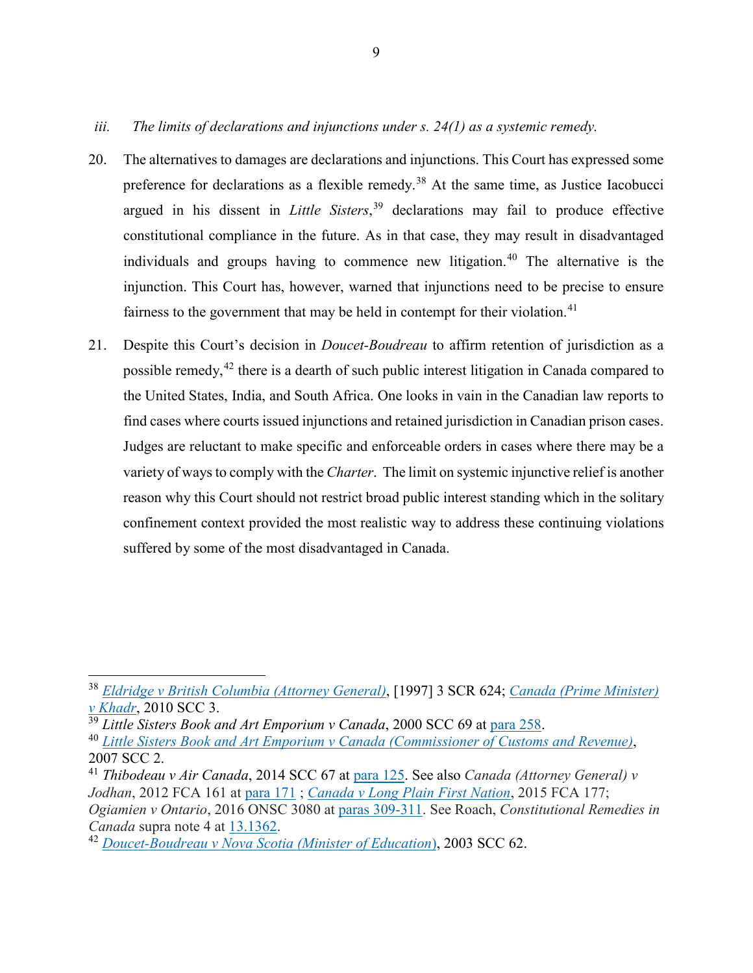- 20. The alternatives to damages are declarations and injunctions. This Court has expressed some preference for declarations as a flexible remedy.<sup>[38](#page-20-0)</sup> At the same time, as Justice Iacobucci argued in his dissent in *Little Sisters*, [39](#page-20-1) declarations may fail to produce effective constitutional compliance in the future. As in that case, they may result in disadvantaged individuals and groups having to commence new litigation.<sup>[40](#page-20-2)</sup> The alternative is the injunction. This Court has, however, warned that injunctions need to be precise to ensure fairness to the government that may be held in contempt for their violation.<sup>[41](#page-20-3)</sup>
- 21. Despite this Court's decision in *Doucet-Boudreau* to affirm retention of jurisdiction as a possible remedy,<sup>[42](#page-20-4)</sup> there is a dearth of such public interest litigation in Canada compared to the United States, India, and South Africa. One looks in vain in the Canadian law reports to find cases where courts issued injunctions and retained jurisdiction in Canadian prison cases. Judges are reluctant to make specific and enforceable orders in cases where there may be a variety of ways to comply with the *Charter*. The limit on systemic injunctive relief is another reason why this Court should not restrict broad public interest standing which in the solitary confinement context provided the most realistic way to address these continuing violations suffered by some of the most disadvantaged in Canada.

 $\overline{\phantom{a}}$ 

<span id="page-20-0"></span><sup>38</sup> *[Eldridge v British Columbia \(Attorney General\)](https://canlii.ca/t/1fqx5)*, [1997] 3 SCR 624; *[Canada \(Prime Minister\)](https://canlii.ca/t/27qn6)  [v Khadr](https://canlii.ca/t/27qn6)*, 2010 SCC 3.

<span id="page-20-1"></span><sup>39</sup> *Little Sisters Book and Art Emporium v Canada*, 2000 SCC 69 at [para 258.](https://canlii.ca/t/5239#par258)

<span id="page-20-2"></span><sup>40</sup> *[Little Sisters Book and Art Emporium v Canada \(Commissioner of Customs and Revenue\)](https://canlii.ca/t/1q8m5)*, 2007 SCC 2.

<span id="page-20-3"></span><sup>41</sup> *Thibodeau v Air Canada*, 2014 SCC 67 at [para 125.](https://canlii.ca/t/gf322#par125) See also *Canada (Attorney General) v Jodhan*, 2012 FCA 161 at [para 171](https://canlii.ca/t/frm7n#par171) ; *[Canada v Long Plain First Nation](https://canlii.ca/t/gkpkl)*, 2015 FCA 177; *Ogiamien v Ontario*, 2016 ONSC 3080 at [paras 309-311.](https://canlii.ca/t/gr8dh#par309) See Roach, *Constitutional Remedies in Canada* supra note 4 at [13.1362.](https://proview-thomsonreuters-com.myaccess.library.utoronto.ca/title.html?redirect=true&titleKey=CW%2FEG%2FROACHCRC_EN%2Fv1.202011041239&titleStage=F&titleAcct=ia744803f0000016124529d84b5629f04#sl=e&eid=7b5aaf2663d48eff8fd94233cf0826c6&eat=Ib70ec3970a8c11ec8caa91348e381810377&pg=279&psl=&nvgS=false)

<span id="page-20-4"></span><sup>42</sup> *[Doucet-Boudreau v Nova Scotia \(Minister of Education](https://canlii.ca/t/4nx4)*), 2003 SCC 62.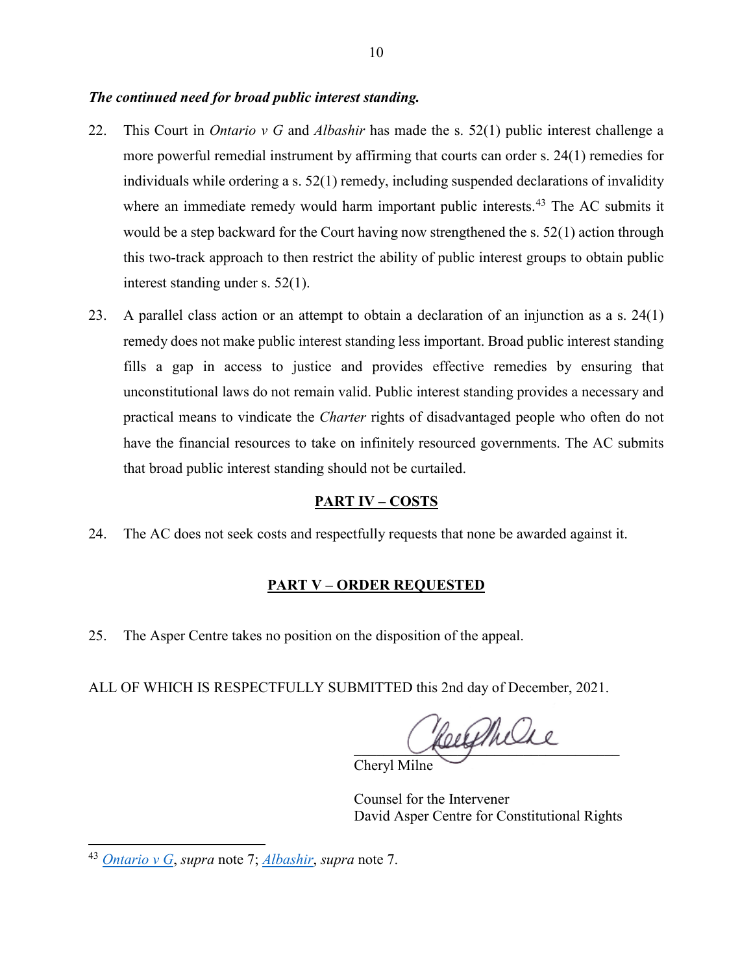#### *The continued need for broad public interest standing.*

- 22. This Court in *Ontario v G* and *Albashir* has made the s. 52(1) public interest challenge a more powerful remedial instrument by affirming that courts can order s. 24(1) remedies for individuals while ordering a s. 52(1) remedy, including suspended declarations of invalidity where an immediate remedy would harm important public interests.<sup>[43](#page-21-0)</sup> The AC submits it would be a step backward for the Court having now strengthened the s. 52(1) action through this two-track approach to then restrict the ability of public interest groups to obtain public interest standing under s. 52(1).
- 23. A parallel class action or an attempt to obtain a declaration of an injunction as a s. 24(1) remedy does not make public interest standing less important. Broad public interest standing fills a gap in access to justice and provides effective remedies by ensuring that unconstitutional laws do not remain valid. Public interest standing provides a necessary and practical means to vindicate the *Charter* rights of disadvantaged people who often do not have the financial resources to take on infinitely resourced governments. The AC submits that broad public interest standing should not be curtailed.

#### **PART IV – COSTS**

24. The AC does not seek costs and respectfully requests that none be awarded against it.

#### **PART V – ORDER REQUESTED**

25. The Asper Centre takes no position on the disposition of the appeal.

ALL OF WHICH IS RESPECTFULLY SUBMITTED this 2nd day of December, 2021.

Heelthelse

Cheryl Milne

Counsel for the Intervener David Asper Centre for Constitutional Rights

 $\overline{\phantom{a}}$ 

<span id="page-21-0"></span><sup>43</sup> *[Ontario v G](https://canlii.ca/t/jbpb4)*, *supra* note 7; *[Albashir](https://canlii.ca/t/jkhxp)*, *supra* note 7.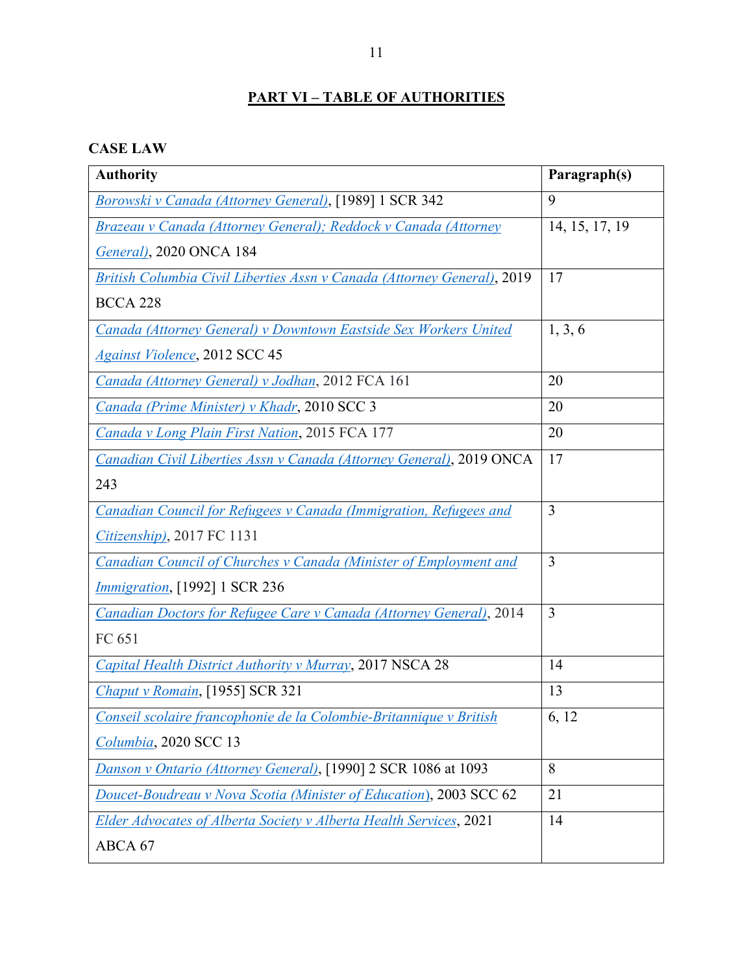## **PART VI – TABLE OF AUTHORITIES**

## **CASE LAW**

| <b>Authority</b>                                                           | Paragraph(s)   |
|----------------------------------------------------------------------------|----------------|
| Borowski v Canada (Attorney General), [1989] 1 SCR 342                     | 9              |
| Brazeau v Canada (Attorney General); Reddock v Canada (Attorney            | 14, 15, 17, 19 |
| General), 2020 ONCA 184                                                    |                |
| British Columbia Civil Liberties Assn v Canada (Attorney General), 2019    | 17             |
| <b>BCCA 228</b>                                                            |                |
| Canada (Attorney General) v Downtown Eastside Sex Workers United           | 1, 3, 6        |
| <b>Against Violence</b> , 2012 SCC 45                                      |                |
| Canada (Attorney General) v Jodhan, 2012 FCA 161                           | 20             |
| Canada (Prime Minister) v Khadr, 2010 SCC 3                                | 20             |
| Canada v Long Plain First Nation, 2015 FCA 177                             | 20             |
| Canadian Civil Liberties Assn v Canada (Attorney General), 2019 ONCA       | 17             |
| 243                                                                        |                |
| Canadian Council for Refugees v Canada (Immigration, Refugees and          | 3              |
| $Citizenship$ , 2017 FC 1131                                               |                |
| Canadian Council of Churches v Canada (Minister of Employment and          | 3              |
| <i>Immigration</i> , [1992] 1 SCR 236                                      |                |
| <b>Canadian Doctors for Refugee Care v Canada (Attorney General), 2014</b> | $\overline{3}$ |
| FC 651                                                                     |                |
| Capital Health District Authority v Murray, 2017 NSCA 28                   | 14             |
| Chaput v Romain, [1955] SCR 321                                            | 13             |
| Conseil scolaire francophonie de la Colombie-Britannique v British         | 6, 12          |
| Columbia, 2020 SCC 13                                                      |                |
| Danson v Ontario (Attorney General), [1990] 2 SCR 1086 at 1093             | 8              |
| Doucet-Boudreau v Nova Scotia (Minister of Education), 2003 SCC 62         | 21             |
| Elder Advocates of Alberta Society v Alberta Health Services, 2021         | 14             |
| ABCA 67                                                                    |                |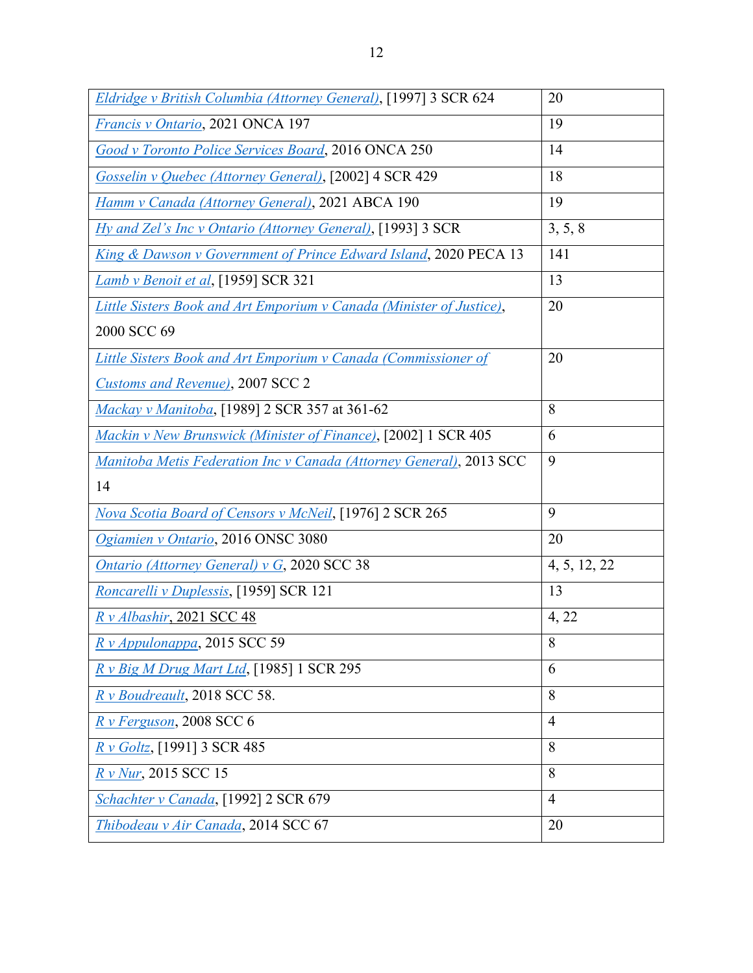| Eldridge v British Columbia (Attorney General), [1997] 3 SCR 624     | 20             |
|----------------------------------------------------------------------|----------------|
| Francis v Ontario, 2021 ONCA 197                                     | 19             |
| <b>Good v Toronto Police Services Board, 2016 ONCA 250</b>           | 14             |
| Gosselin v Quebec (Attorney General), [2002] 4 SCR 429               | 18             |
| Hamm v Canada (Attorney General), 2021 ABCA 190                      | 19             |
| Hy and Zel's Inc v Ontario (Attorney General), [1993] 3 SCR          | 3, 5, 8        |
| King & Dawson v Government of Prince Edward Island, 2020 PECA 13     | 141            |
| Lamb v Benoit et al, [1959] SCR 321                                  | 13             |
| Little Sisters Book and Art Emporium v Canada (Minister of Justice), | 20             |
| 2000 SCC 69                                                          |                |
| Little Sisters Book and Art Emporium v Canada (Commissioner of       | 20             |
| <b>Customs and Revenue), 2007 SCC 2</b>                              |                |
| Mackay v Manitoba, [1989] 2 SCR 357 at 361-62                        | 8              |
| Mackin v New Brunswick (Minister of Finance), [2002] 1 SCR 405       | 6              |
| Manitoba Metis Federation Inc v Canada (Attorney General), 2013 SCC  | 9              |
| 14                                                                   |                |
| Nova Scotia Board of Censors v McNeil, [1976] 2 SCR 265              | 9              |
| Ogiamien v Ontario, 2016 ONSC 3080                                   | 20             |
| <b>Ontario (Attorney General) v G, 2020 SCC 38</b>                   | 4, 5, 12, 22   |
| Roncarelli v Duplessis, [1959] SCR 121                               | 13             |
| Rv Albashir, 2021 SCC 48                                             | 4, 22          |
| R v Appulonappa, 2015 SCC 59                                         | $\overline{8}$ |
| R v Big M Drug Mart Ltd, [1985] 1 SCR 295                            | 6              |
| R v Boudreault, 2018 SCC 58.                                         | 8              |
| R v Ferguson, 2008 SCC 6                                             | $\overline{4}$ |
| R v Goltz, [1991] 3 SCR 485                                          | 8              |
| R v Nur, 2015 SCC 15                                                 | 8              |
| Schachter v Canada, [1992] 2 SCR 679                                 | $\overline{4}$ |
| Thibodeau v Air Canada, 2014 SCC 67                                  | 20             |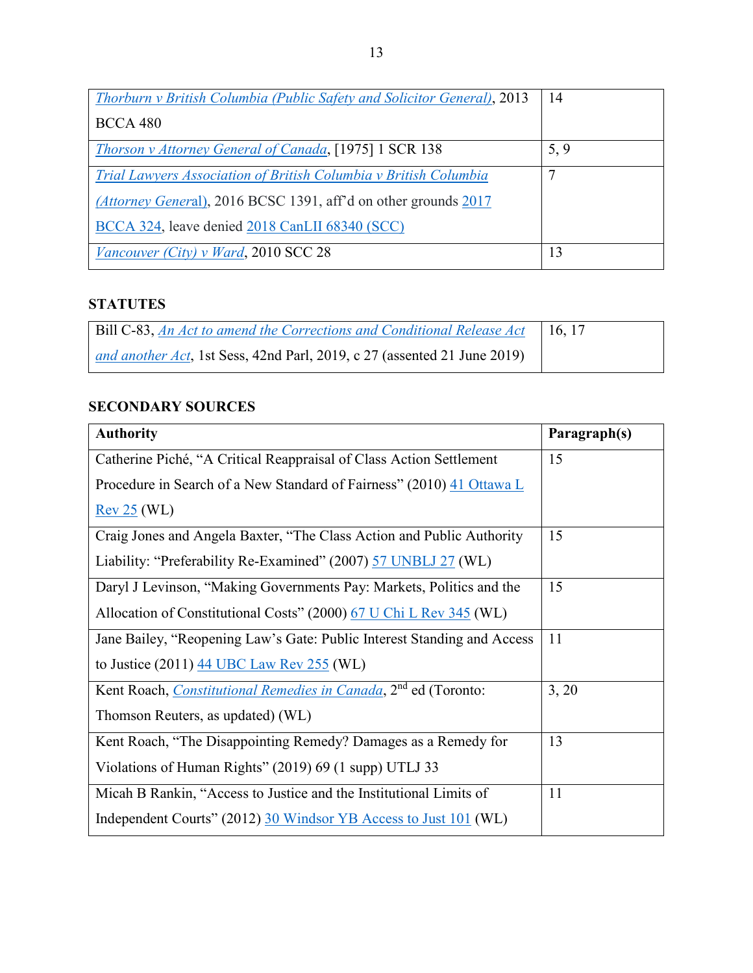| Thorburn v British Columbia (Public Safety and Solicitor General), 2013 | 14             |
|-------------------------------------------------------------------------|----------------|
| <b>BCCA 480</b>                                                         |                |
| <b>Thorson v Attorney General of Canada, [1975] 1 SCR 138</b>           | 5, 9           |
| Trial Lawyers Association of British Columbia v British Columbia        | $\mathbf \tau$ |
| (Attorney General), 2016 BCSC 1391, aff'd on other grounds 2017         |                |
| BCCA 324, leave denied 2018 CanLII 68340 (SCC)                          |                |
| Vancouver (City) v Ward, 2010 SCC 28                                    | 13             |

## **STATUTES**

| Bill C-83, An Act to amend the Corrections and Conditional Release Act   | 16.17 |
|--------------------------------------------------------------------------|-------|
| and another Act, 1st Sess, 42nd Parl, 2019, c 27 (assented 21 June 2019) |       |

## **SECONDARY SOURCES**

| <b>Authority</b>                                                            | Paragraph(s) |
|-----------------------------------------------------------------------------|--------------|
| Catherine Piché, "A Critical Reappraisal of Class Action Settlement         | 15           |
| Procedure in Search of a New Standard of Fairness" (2010) 41 Ottawa L       |              |
| Rev 25 (WL)                                                                 |              |
| Craig Jones and Angela Baxter, "The Class Action and Public Authority       | 15           |
| Liability: "Preferability Re-Examined" (2007) 57 UNBLJ 27 (WL)              |              |
| Daryl J Levinson, "Making Governments Pay: Markets, Politics and the        | 15           |
| Allocation of Constitutional Costs" (2000) 67 U Chi L Rev 345 (WL)          |              |
| Jane Bailey, "Reopening Law's Gate: Public Interest Standing and Access     | 11           |
| to Justice $(2011)$ $44$ UBC Law Rev 255 (WL)                               |              |
| Kent Roach, Constitutional Remedies in Canada, 2 <sup>nd</sup> ed (Toronto: | 3, 20        |
| Thomson Reuters, as updated) (WL)                                           |              |
| Kent Roach, "The Disappointing Remedy? Damages as a Remedy for              | 13           |
| Violations of Human Rights" (2019) 69 (1 supp) UTLJ 33                      |              |
| Micah B Rankin, "Access to Justice and the Institutional Limits of          | 11           |
| Independent Courts" (2012) 30 Windsor YB Access to Just 101 (WL)            |              |